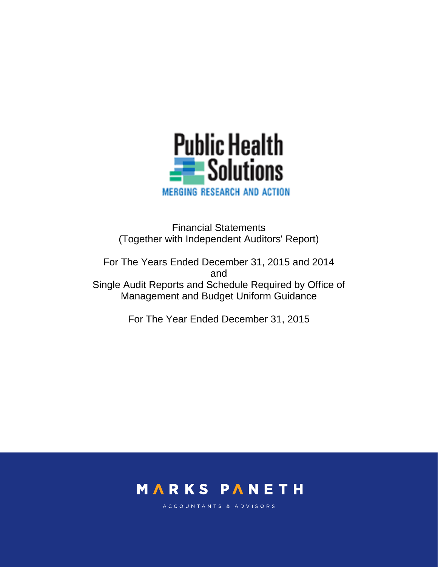

Financial Statements (Together with Independent Auditors' Report)

For The Years Ended December 31, 2015 and 2014 and Single Audit Reports and Schedule Required by Office of Management and Budget Uniform Guidance

For The Year Ended December 31, 2015



ACCOUNTANTS & ADVISORS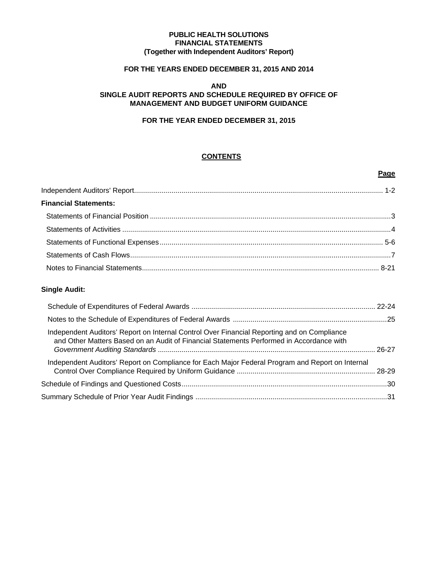#### **PUBLIC HEALTH SOLUTIONS FINANCIAL STATEMENTS (Together with Independent Auditors' Report)**

## **FOR THE YEARS ENDED DECEMBER 31, 2015 AND 2014**

#### **AND SINGLE AUDIT REPORTS AND SCHEDULE REQUIRED BY OFFICE OF MANAGEMENT AND BUDGET UNIFORM GUIDANCE**

## **FOR THE YEAR ENDED DECEMBER 31, 2015**

## **CONTENTS**

**Page** 

| <b>Financial Statements:</b> |  |
|------------------------------|--|
|                              |  |
|                              |  |
|                              |  |
|                              |  |
|                              |  |

## **Single Audit:**

| Independent Auditors' Report on Internal Control Over Financial Reporting and on Compliance<br>and Other Matters Based on an Audit of Financial Statements Performed in Accordance with |  |
|-----------------------------------------------------------------------------------------------------------------------------------------------------------------------------------------|--|
| Independent Auditors' Report on Compliance for Each Major Federal Program and Report on Internal                                                                                        |  |
|                                                                                                                                                                                         |  |
|                                                                                                                                                                                         |  |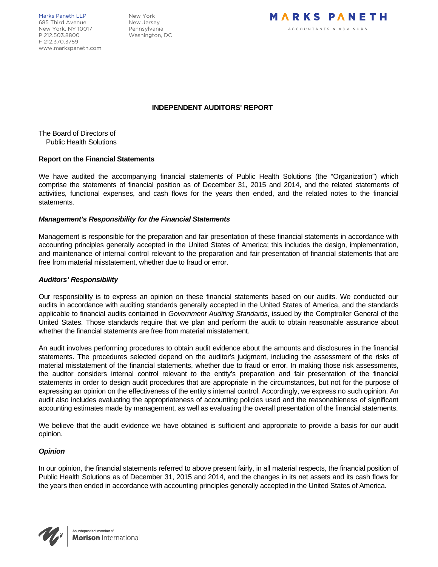Marks Paneth LLP New York 685 Third Avenue New Jersey New York, NY 10017 Pennsylvania P 212.503.8800 Washington, DC F 212.370.3759 www.markspaneth.com



#### **INDEPENDENT AUDITORS' REPORT**

The Board of Directors of Public Health Solutions

#### **Report on the Financial Statements**

We have audited the accompanying financial statements of Public Health Solutions (the "Organization") which comprise the statements of financial position as of December 31, 2015 and 2014, and the related statements of activities, functional expenses, and cash flows for the years then ended, and the related notes to the financial statements.

#### *Management's Responsibility for the Financial Statements*

Management is responsible for the preparation and fair presentation of these financial statements in accordance with accounting principles generally accepted in the United States of America; this includes the design, implementation, and maintenance of internal control relevant to the preparation and fair presentation of financial statements that are free from material misstatement, whether due to fraud or error.

#### *Auditors' Responsibility*

Our responsibility is to express an opinion on these financial statements based on our audits. We conducted our audits in accordance with auditing standards generally accepted in the United States of America, and the standards applicable to financial audits contained in *Government Auditing Standards*, issued by the Comptroller General of the United States. Those standards require that we plan and perform the audit to obtain reasonable assurance about whether the financial statements are free from material misstatement.

An audit involves performing procedures to obtain audit evidence about the amounts and disclosures in the financial statements. The procedures selected depend on the auditor's judgment, including the assessment of the risks of material misstatement of the financial statements, whether due to fraud or error. In making those risk assessments, the auditor considers internal control relevant to the entity's preparation and fair presentation of the financial statements in order to design audit procedures that are appropriate in the circumstances, but not for the purpose of expressing an opinion on the effectiveness of the entity's internal control. Accordingly, we express no such opinion. An audit also includes evaluating the appropriateness of accounting policies used and the reasonableness of significant accounting estimates made by management, as well as evaluating the overall presentation of the financial statements.

We believe that the audit evidence we have obtained is sufficient and appropriate to provide a basis for our audit opinion.

#### *Opinion*

In our opinion, the financial statements referred to above present fairly, in all material respects, the financial position of Public Health Solutions as of December 31, 2015 and 2014, and the changes in its net assets and its cash flows for the years then ended in accordance with accounting principles generally accepted in the United States of America.

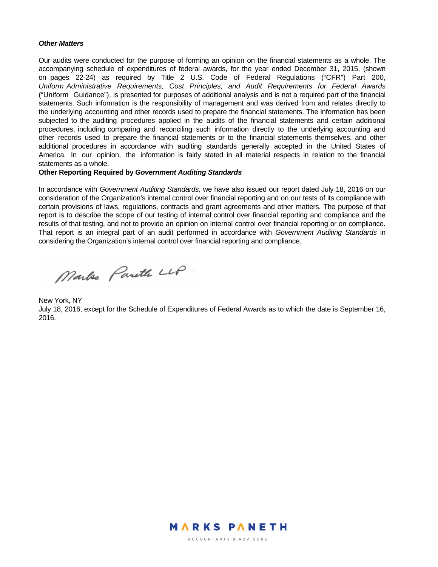#### *Other Matters*

Our audits were conducted for the purpose of forming an opinion on the financial statements as a whole. The accompanying schedule of expenditures of federal awards, for the year ended December 31, 2015, (shown on pages 22-24) as required by Title 2 U.S. Code of Federal Regulations ("CFR") Part 200, *Uniform Administrative Requirements, Cost Principles, and Audit Requirements for Federal Awards* ("Uniform Guidance"), is presented for purposes of additional analysis and is not a required part of the financial statements. Such information is the responsibility of management and was derived from and relates directly to the underlying accounting and other records used to prepare the financial statements. The information has been subjected to the auditing procedures applied in the audits of the financial statements and certain additional procedures, including comparing and reconciling such information directly to the underlying accounting and other records used to prepare the financial statements or to the financial statements themselves, and other additional procedures in accordance with auditing standards generally accepted in the United States of America. In our opinion, the information is fairly stated in all material respects in relation to the financial statements as a whole.

#### **Other Reporting Required by** *Government Auditing Standards*

In accordance with *Government Auditing Standards,* we have also issued our report dated July 18, 2016 on our consideration of the Organization's internal control over financial reporting and on our tests of its compliance with certain provisions of laws, regulations, contracts and grant agreements and other matters. The purpose of that report is to describe the scope of our testing of internal control over financial reporting and compliance and the results of that testing, and not to provide an opinion on internal control over financial reporting or on compliance. That report is an integral part of an audit performed in accordance with *Government Auditing Standards* in considering the Organization's internal control over financial reporting and compliance.

Marks Pareth LLP

New York, NY July 18, 2016, except for the Schedule of Expenditures of Federal Awards as to which the date is September 16, 2016.



ACCOUNTANTS & ADVISORS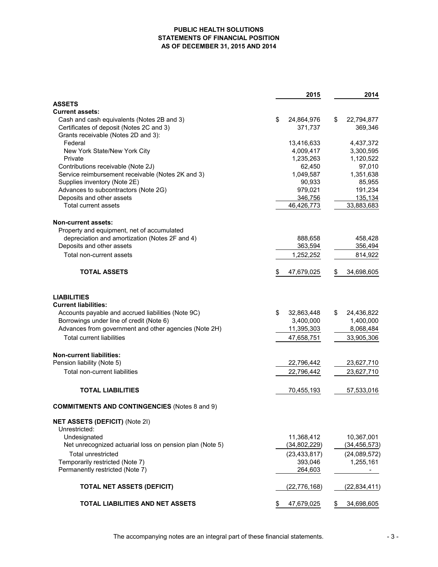#### **PUBLIC HEALTH SOLUTIONS STATEMENTS OF FINANCIAL POSITION AS OF DECEMBER 31, 2015 AND 2014**

|                                                          | 2015             | 2014             |
|----------------------------------------------------------|------------------|------------------|
| <b>ASSETS</b>                                            |                  |                  |
| <b>Current assets:</b>                                   |                  |                  |
| Cash and cash equivalents (Notes 2B and 3)               | \$<br>24,864,976 | \$<br>22,794,877 |
| Certificates of deposit (Notes 2C and 3)                 | 371,737          | 369,346          |
| Grants receivable (Notes 2D and 3):                      |                  |                  |
| Federal                                                  | 13,416,633       | 4,437,372        |
| New York State/New York City                             | 4,009,417        | 3,300,595        |
| Private                                                  | 1,235,263        | 1,120,522        |
| Contributions receivable (Note 2J)                       | 62,450           | 97,010           |
| Service reimbursement receivable (Notes 2K and 3)        | 1,049,587        | 1,351,638        |
| Supplies inventory (Note 2E)                             | 90,933           | 85,955           |
| Advances to subcontractors (Note 2G)                     | 979,021          | 191,234          |
| Deposits and other assets                                | 346,756          | 135,134          |
| Total current assets                                     | 46,426,773       | 33,883,683       |
| <b>Non-current assets:</b>                               |                  |                  |
| Property and equipment, net of accumulated               |                  |                  |
| depreciation and amortization (Notes 2F and 4)           | 888,658          | 458,428          |
| Deposits and other assets                                | 363,594          | 356,494          |
| Total non-current assets                                 | 1,252,252        | 814,922          |
| <b>TOTAL ASSETS</b>                                      | 47,679,025<br>\$ | 34,698,605<br>\$ |
| <b>LIABILITIES</b><br><b>Current liabilities:</b>        |                  |                  |
| Accounts payable and accrued liabilities (Note 9C)       | \$<br>32,863,448 | S<br>24,436,822  |
| Borrowings under line of credit (Note 6)                 | 3,400,000        | 1,400,000        |
| Advances from government and other agencies (Note 2H)    | 11,395,303       | 8,068,484        |
| <b>Total current liabilities</b>                         | 47,658,751       | 33,905,306       |
| <b>Non-current liabilities:</b>                          |                  |                  |
| Pension liability (Note 5)                               | 22,796,442       | 23,627,710       |
| <b>Total non-current liabilities</b>                     | 22,796,442       | 23,627,710       |
|                                                          |                  |                  |
| <b>TOTAL LIABILITIES</b>                                 | 70,455,193       | 57,533,016       |
| <b>COMMITMENTS AND CONTINGENCIES (Notes 8 and 9)</b>     |                  |                  |
| <b>NET ASSETS (DEFICIT) (Note 2I)</b>                    |                  |                  |
| Unrestricted:                                            |                  |                  |
| Undesignated                                             | 11,368,412       | 10,367,001       |
| Net unrecognized actuarial loss on pension plan (Note 5) | (34, 802, 229)   | (34, 456, 573)   |
| <b>Total unrestricted</b>                                | (23, 433, 817)   | (24,089,572)     |
| Temporarily restricted (Note 7)                          | 393,046          | 1,255,161        |
| Permanently restricted (Note 7)                          | 264,603          |                  |
| <b>TOTAL NET ASSETS (DEFICIT)</b>                        | (22, 776, 168)   | (22, 834, 411)   |
| TOTAL LIABILITIES AND NET ASSETS                         | \$<br>47,679,025 | 34,698,605<br>\$ |

The accompanying notes are an integral part of these financial statements.  $\sim$  3 -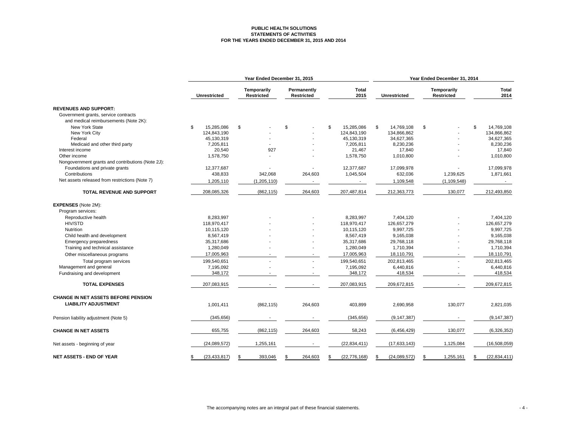#### **PUBLIC HEALTH SOLUTIONS STATEMENTS OF ACTIVITIES FOR THE YEARS ENDED DECEMBER 31, 2015 AND 2014**

|                                                   | Year Ended December 31, 2015 |                                         |                                  |                      | Year Ended December 31, 2014 |                                         |                      |  |
|---------------------------------------------------|------------------------------|-----------------------------------------|----------------------------------|----------------------|------------------------------|-----------------------------------------|----------------------|--|
|                                                   | Unrestricted                 | <b>Temporarily</b><br><b>Restricted</b> | Permanently<br><b>Restricted</b> | <b>Total</b><br>2015 | <b>Unrestricted</b>          | <b>Temporarily</b><br><b>Restricted</b> | <b>Total</b><br>2014 |  |
| <b>REVENUES AND SUPPORT:</b>                      |                              |                                         |                                  |                      |                              |                                         |                      |  |
| Government grants, service contracts              |                              |                                         |                                  |                      |                              |                                         |                      |  |
| and medical reimbursements (Note 2K):             |                              |                                         |                                  |                      |                              |                                         |                      |  |
| <b>New York State</b>                             | \$<br>15.285.086             | \$                                      | \$                               | \$<br>15.285.086     | \$<br>14,769,108             | \$                                      | \$<br>14.769.108     |  |
| New York City                                     | 124,843,190                  |                                         |                                  | 124,843,190          | 134,866,862                  |                                         | 134,866,862          |  |
| Federal                                           | 45,130,319                   |                                         |                                  | 45,130,319           | 34,627,365                   |                                         | 34,627,365           |  |
| Medicaid and other third party                    | 7,205,811                    |                                         |                                  | 7,205,811            | 8,230,236                    |                                         | 8,230,236            |  |
| Interest income                                   | 20,540                       | 927                                     |                                  | 21,467               | 17,840                       |                                         | 17,840               |  |
| Other income                                      | 1,578,750                    |                                         |                                  | 1,578,750            | 1,010,800                    |                                         | 1,010,800            |  |
| Nongovernment grants and contributions (Note 2J): |                              |                                         |                                  |                      |                              |                                         |                      |  |
| Foundations and private grants                    | 12,377,687                   |                                         |                                  | 12,377,687           | 17,099,978                   |                                         | 17,099,978           |  |
| Contributions                                     | 438,833                      | 342,068                                 | 264,603                          | 1,045,504            | 632,036                      | 1,239,625                               | 1,871,661            |  |
| Net assets released from restrictions (Note 7)    | 1,205,110                    | (1, 205, 110)                           |                                  |                      | 1,109,548                    | (1, 109, 548)                           | $\sim$               |  |
| TOTAL REVENUE AND SUPPORT                         | 208,085,326                  | (862, 115)                              | 264,603                          | 207,487,814          | 212,363,773                  | 130,077                                 | 212,493,850          |  |
| <b>EXPENSES</b> (Note 2M):                        |                              |                                         |                                  |                      |                              |                                         |                      |  |
| Program services:                                 |                              |                                         |                                  |                      |                              |                                         |                      |  |
| Reproductive health                               | 8.283.997                    |                                         |                                  | 8,283,997            | 7,404,120                    |                                         | 7.404.120            |  |
| <b>HIV/STD</b>                                    | 118,970,417                  |                                         |                                  | 118,970,417          | 126,657,279                  |                                         | 126,657,279          |  |
| Nutrition                                         | 10,115,120                   |                                         |                                  | 10,115,120           | 9,997,725                    |                                         | 9,997,725            |  |
| Child health and development                      | 8,567,419                    |                                         |                                  | 8,567,419            | 9,165,038                    |                                         | 9,165,038            |  |
| Emergency preparedness                            | 35,317,686                   |                                         |                                  | 35,317,686           | 29,768,118                   |                                         | 29,768,118           |  |
| Training and technical assistance                 | 1,280,049                    |                                         |                                  | 1,280,049            | 1,710,394                    |                                         | 1,710,394            |  |
| Other miscellaneous programs                      | 17,005,963                   |                                         |                                  | 17,005,963           | 18,110,791                   | $\blacksquare$                          | 18,110,791           |  |
| Total program services                            | 199,540,651                  |                                         |                                  | 199,540,651          | 202,813,465                  |                                         | 202,813,465          |  |
| Management and general                            | 7,195,092                    |                                         |                                  | 7,195,092            | 6,440,816                    |                                         | 6,440,816            |  |
| Fundraising and development                       | 348,172                      |                                         | $\overline{\phantom{a}}$         | 348,172              | 418,534                      |                                         | 418,534              |  |
|                                                   |                              |                                         |                                  |                      |                              |                                         |                      |  |
| <b>TOTAL EXPENSES</b>                             | 207,083,915                  |                                         | $\sim$                           | 207,083,915          | 209,672,815                  |                                         | 209,672,815          |  |
| <b>CHANGE IN NET ASSETS BEFORE PENSION</b>        |                              |                                         |                                  |                      |                              |                                         |                      |  |
| <b>LIABILITY ADJUSTMENT</b>                       | 1,001,411                    | (862, 115)                              | 264,603                          | 403,899              | 2,690,958                    | 130,077                                 | 2,821,035            |  |
| Pension liability adjustment (Note 5)             | (345, 656)                   |                                         |                                  | (345, 656)           | (9, 147, 387)                |                                         | (9, 147, 387)        |  |
| <b>CHANGE IN NET ASSETS</b>                       | 655,755                      | (862, 115)                              | 264,603                          | 58,243               | (6, 456, 429)                | 130,077                                 | (6, 326, 352)        |  |
| Net assets - beginning of year                    | (24,089,572)                 | 1,255,161                               |                                  | (22, 834, 411)       | (17,633,143)                 | 1,125,084                               | (16,508,059)         |  |
| <b>NET ASSETS - END OF YEAR</b>                   | (23, 433, 817)<br>\$         | 393,046<br>\$                           | 264,603<br>\$                    | (22, 776, 168)<br>\$ | (24,089,572)<br>\$           | 1,255,161<br>\$                         | (22, 834, 411)<br>\$ |  |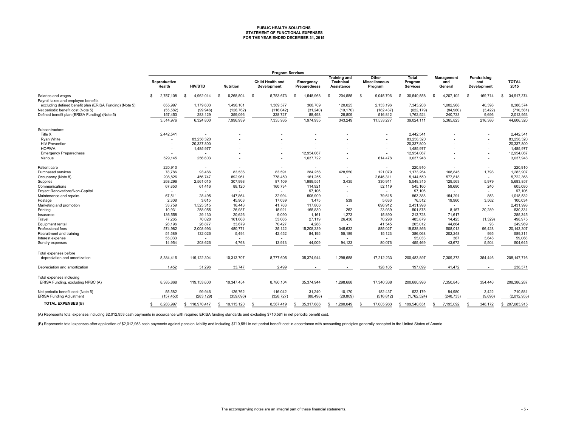# **PUBLIC HEALTH SOLUTIONS STATEMENT OF FUNCTIONAL EXPENSES FOR THE YEAR ENDED DECEMBER 31, 2015**

|                                                         | <b>Program Services</b> |                          |                  |                                        |                           |                                                       |                                          |                                     |                              |                                          |                      |
|---------------------------------------------------------|-------------------------|--------------------------|------------------|----------------------------------------|---------------------------|-------------------------------------------------------|------------------------------------------|-------------------------------------|------------------------------|------------------------------------------|----------------------|
|                                                         | Reproductive<br>Health  | <b>HIV/STD</b>           | <b>Nutrition</b> | <b>Child Health and</b><br>Development | Emergency<br>Preparedness | <b>Training and</b><br><b>Technical</b><br>Assistance | Other<br><b>Miscellaneous</b><br>Program | Total<br>Program<br><b>Services</b> | Management<br>and<br>General | <b>Fundraising</b><br>and<br>Development | <b>TOTAL</b><br>2015 |
| Salaries and wages                                      | 2,757,108<br>S          | 4,962,014<br>- \$        | 6,268,504<br>S   | 5,753,673<br>- \$                      | 1,548,968<br>-S           | 204,585<br>S                                          | 9,045,706<br>- \$                        | 30,540,558<br>-S                    | 4,207,102<br>£.              | 169,714<br>-S                            | 34,917,374<br>-S     |
| Payroll taxes and employee benefits                     |                         |                          |                  |                                        |                           |                                                       |                                          |                                     |                              |                                          |                      |
| excluding defined benefit plan (ERISA Funding) (Note 5) | 655,997                 | 1,179,603                | 1,496,101        | 1,369,577                              | 368,709                   | 120,025                                               | 2,153,196                                | 7,343,208                           | 1,002,968                    | 40,398                                   | 8,386,574            |
| Net periodic benefit cost (Note 5)                      | (55, 582)               | (99, 946)                | (126, 762)       | (116, 042)                             | (31, 240)                 | (10, 170)                                             | (182, 437)                               | (622, 179)                          | (84,980)                     | (3, 422)                                 | (710, 581)           |
| Defined benefit plan (ERISA Funding) (Note 5)           | 157,453                 | 283,129                  | 359,096          | 328,727                                | 88,498                    | 28,809                                                | 516,812                                  | 1,762,524                           | 240,733                      | 9,696                                    | 2,012,953            |
|                                                         | 3,514,976               | 6,324,800                | 7,996,939        | 7,335,935                              | 1,974,935                 | 343,249                                               | 11,533,277                               | 39,024,111                          | 5,365,823                    | 216,386                                  | 44,606,320           |
| Subcontractors:                                         |                         |                          |                  |                                        |                           |                                                       |                                          |                                     |                              |                                          |                      |
| Title X                                                 | 2,442,541               |                          |                  |                                        |                           |                                                       |                                          | 2,442,541                           |                              |                                          | 2,442,541            |
| <b>Ryan White</b>                                       |                         | 83,258,320               |                  |                                        |                           |                                                       |                                          | 83,258,320                          |                              |                                          | 83,258,320           |
| <b>HIV Prevention</b>                                   |                         | 20,337,800               |                  |                                        |                           |                                                       |                                          | 20,337,800                          |                              |                                          | 20,337,800           |
| <b>HOPWA</b>                                            |                         | 1,485,977                |                  |                                        |                           |                                                       |                                          | 1,485,977                           |                              |                                          | 1,485,977            |
| <b>Emergency Preparedness</b>                           |                         | $\overline{\phantom{a}}$ |                  |                                        | 12,954,067                |                                                       |                                          | 12,954,067                          |                              |                                          | 12,954,067           |
| Various                                                 | 529,145                 | 256,603                  |                  |                                        | 1,637,722                 |                                                       | 614,478                                  | 3,037,948                           |                              |                                          | 3,037,948            |
| Patient care                                            | 220,910                 | $\overline{\phantom{a}}$ |                  |                                        |                           | $\sim$                                                | $\sim$                                   | 220,910                             | $\overline{\phantom{a}}$     | $\overline{\phantom{a}}$                 | 220,910              |
| Purchased services                                      | 78,786                  | 93,466                   | 83,536           | 83,591                                 | 284,256                   | 428,550                                               | 121,079                                  | 1,173,264                           | 108,845                      | 1,798                                    | 1,283,907            |
| Occupancy (Note 8)                                      | 208,826                 | 456,747                  | 892,961          | 778,450                                | 161,255                   | $\sim$                                                | 2,646,311                                | 5,144,550                           | 577,818                      | $\overline{\phantom{a}}$                 | 5,722,368            |
| Supplies                                                | 268,296                 | 2,561,015                | 307,998          | 87,109                                 | 1,989,551                 | 3,435                                                 | 330,911                                  | 5,548,315                           | 129,563                      | 5,979                                    | 5,683,857            |
| Communications                                          | 67,850                  | 61,416                   | 88,120           | 160,734                                | 114,921                   | $\sim$                                                | 52,119                                   | 545,160                             | 59,680                       | 240                                      | 605,080              |
| Project Renovations/Non-Capital                         |                         |                          |                  |                                        | 97,106                    |                                                       | $\sim$                                   | 97,106                              | $\sim$                       |                                          | 97,106               |
| Maintenance and repairs                                 | 67,511                  | 28,495                   | 147,864          | 32,994                                 | 506,909                   | $\sim$                                                | 79,615                                   | 863,388                             | 154,291                      | 853                                      | 1,018,532            |
| Postage                                                 | 2,308                   | 3,615                    | 45,903           | 17,039                                 | 1,475                     | 539                                                   | 5.633                                    | 76,512                              | 19,960                       | 3,562                                    | 100,034              |
| Marketing and promotion                                 | 33,759                  | 1,525,315                | 16,443           | 41,763                                 | 117,806                   | $\sim$                                                | 696,912                                  | 2,431,998                           | $\sim$                       |                                          | 2,431,998            |
| Printing                                                | 10,931                  | 258,055                  | 26,937           | 15,921                                 | 165,830                   | 262                                                   | 23,939                                   | 501,875                             | 8,167                        | 20,289                                   | 530,331              |
| Insurance                                               | 136,558                 | 29,130                   | 20,626           | 9,090                                  | 1,161                     | 1,273                                                 | 15,890                                   | 213,728                             | 71,617                       |                                          | 285,345              |
| Travel                                                  | 77,265                  | 70,028                   | 161,668          | 53,065                                 | 27,119                    | 26,436                                                | 70,298                                   | 485,879                             | 14,425                       | (1,329)                                  | 498,975              |
| Equipment rental                                        | 28,196                  | 26,877                   | 33,679           | 70,427                                 | 4,288                     | $\sim$                                                | 41,545                                   | 205,012                             | 44,864                       | 93                                       | 249,969              |
| Professional fees                                       | 574,982                 | 2,008,993                | 480,771          | 35,122                                 | 15,208,339                | 345.632                                               | 885,027                                  | 19,538,866                          | 508,013                      | 96,428                                   | 20, 143, 307         |
| Recruitment and training                                | 51,589                  | 132,026                  | 5,494            | 42,452                                 | 84,195                    | 55,189                                                | 15,123                                   | 386,068                             | 202,248                      | 995                                      | 589,311              |
| Interest expense                                        | 55,033                  | $\overline{\phantom{a}}$ |                  |                                        |                           |                                                       | $\sim$                                   | 55,033                              | 387                          | 3,648                                    | 59,068               |
| Sundry expenses                                         | 14,954                  | 203,626                  | 4,768            | 13,913                                 | 44,009                    | 94,123                                                | 80.076                                   | 455,469                             | 43,672                       | 5,504                                    | 504,645              |
| Total expenses before                                   |                         |                          |                  |                                        |                           |                                                       |                                          |                                     |                              |                                          |                      |
| depreciation and amortization                           | 8,384,416               | 119,122,304              | 10,313,707       | 8,777,605                              | 35,374,944                | 1,298,688                                             | 17,212,233                               | 200,483,897                         | 7,309,373                    | 354,446                                  | 208, 147, 716        |
|                                                         | 1,452                   | 31,296                   | 33,747           | 2,499                                  |                           |                                                       | 128,105                                  | 197,099                             | 41,472                       |                                          | 238,571              |
| Depreciation and amortization                           |                         |                          |                  |                                        |                           |                                                       |                                          |                                     |                              |                                          |                      |
| Total expenses including                                |                         |                          |                  |                                        |                           |                                                       |                                          |                                     |                              |                                          |                      |
| ERISA Funding, excluding NPBC (A)                       | 8,385,868               | 119,153,600              | 10,347,454       | 8,780,104                              | 35,374,944                | 1,298,688                                             | 17,340,338                               | 200,680,996                         | 7,350,845                    | 354,446                                  | 208,386,287          |
| Net periodic benefit cost (Note 5)                      | 55,582                  | 99,946                   | 126,762          | 116,042                                | 31,240                    | 10,170                                                | 182,437                                  | 622,179                             | 84,980                       | 3,422                                    | 710,581              |
| ERISA Funding Adjustment                                | (157, 453)              | (283, 129)               | (359, 096)       | (328, 727)                             | (88, 498)                 | (28, 809)                                             | (516, 812)                               | (1,762,524)                         | (240, 733)                   | (9,696)                                  | (2,012,953)          |
| <b>TOTAL EXPENSES (B)</b>                               | 8,283,997<br>S          | \$118,970,417            | 10,115,120<br>S  | 8,567,419<br>£.                        | 35,317,686<br>\$.         | 1,280,049<br>\$.                                      | 17,005,963                               | 199.540.651<br>S.                   | 7,195,092<br>S               | 348.172                                  | 207,083,915<br>-S    |

(A) Represents total expenses including \$2,012,953 cash payments in accordance with required ERISA funding standards and excluding \$710,581 in net periodic benefit cost.

(B) Represents total expenses after application of \$2,012,953 cash payments against pension liability and including \$710,581 in net period benefit cost in accordance with accounting principles generally accepted in the Uni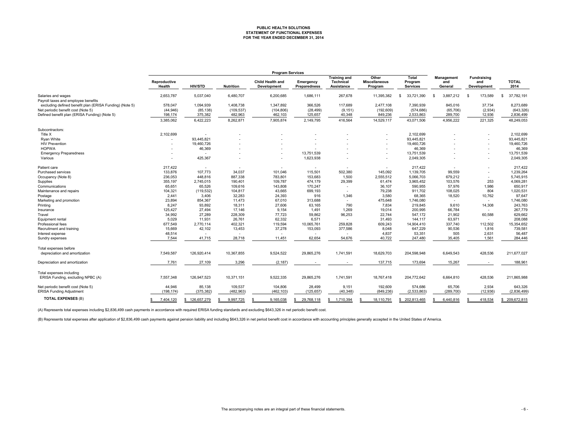## **PUBLIC HEALTH SOLUTIONS STATEMENT OF FUNCTIONAL EXPENSES FOR THE YEAR ENDED DECEMBER 31, 2014**

|                                                           | <b>Program Services</b> |                   |                  |                                 |                           |                                                       |                                          |                                            |                              |                                          |                      |
|-----------------------------------------------------------|-------------------------|-------------------|------------------|---------------------------------|---------------------------|-------------------------------------------------------|------------------------------------------|--------------------------------------------|------------------------------|------------------------------------------|----------------------|
|                                                           | Reproductive<br>Health  | <b>HIV/STD</b>    | <b>Nutrition</b> | Child Health and<br>Development | Emergency<br>Preparedness | <b>Training and</b><br><b>Technical</b><br>Assistance | Other<br><b>Miscellaneous</b><br>Program | <b>Total</b><br>Program<br><b>Services</b> | Management<br>and<br>General | <b>Fundraising</b><br>and<br>Development | <b>TOTAL</b><br>2014 |
| Salaries and wages<br>Payroll taxes and employee benefits | 2,653,787               | 5,037,040         | 6,480,707        | 6,200,685                       | 1,686,111                 | 267,678                                               | 11,395,382                               | 33.721.390<br>s.                           | 3,887,212<br>- \$            | 173,589<br>-S                            | 37,782,191<br>\$.    |
| excluding defined benefit plan (ERISA Funding) (Note 5)   | 578,047                 | 1,094,939         | 1,408,738        | 1,347,892                       | 366,526                   | 117.689                                               | 2,477,108                                | 7.390.939                                  | 845,016                      | 37,734                                   | 8,273,689            |
| Net periodic benefit cost (Note 5)                        | (44, 946)               | (85, 138)         | (109, 537)       | (104, 806)                      | (28, 499)                 | (9, 151)                                              | (192, 609)                               | (574, 686)                                 | (65, 706)                    | (2,934)                                  | (643, 326)           |
| Defined benefit plan (ERISA Funding) (Note 5)             | 198,174                 | 375,382           | 482,963          | 462,103                         | 125,657                   | 40,348                                                | 849,236                                  | 2,533,863                                  | 289,700                      | 12,936                                   | 2,836,499            |
|                                                           | 3,385,062               | 6,422,223         | 8,262,871        | 7,905,874                       | 2,149,795                 | 416,564                                               | 14,529,117                               | 43,071,506                                 | 4,956,222                    | 221,325                                  | 48,249,053           |
| Subcontractors:                                           |                         |                   |                  |                                 |                           |                                                       |                                          |                                            |                              |                                          |                      |
| Title X                                                   | 2,102,699               |                   |                  |                                 |                           |                                                       |                                          | 2,102,699                                  |                              |                                          | 2,102,699            |
| Ryan White                                                |                         | 93,445,821        |                  |                                 |                           |                                                       |                                          | 93,445,821                                 |                              |                                          | 93,445,821           |
| <b>HIV Prevention</b>                                     |                         | 19,460,726        |                  |                                 |                           |                                                       |                                          | 19,460,726                                 |                              |                                          | 19,460,726           |
| <b>HOPWA</b>                                              |                         | 46,369            |                  |                                 |                           |                                                       |                                          | 46,369                                     |                              |                                          | 46,369               |
| <b>Emergency Preparedness</b>                             |                         |                   |                  |                                 | 13,751,539                |                                                       |                                          | 13,751,539                                 |                              |                                          | 13,751,539           |
| Various                                                   |                         | 425,367           |                  |                                 | 1,623,938                 |                                                       |                                          | 2,049,305                                  |                              |                                          | 2,049,305            |
| Patient care                                              | 217,422                 | $\sim$            |                  |                                 |                           |                                                       |                                          | 217,422                                    |                              |                                          | 217,422              |
| <b>Purchased services</b>                                 | 133,876                 | 107,773           | 34,037           | 101,046                         | 115,501                   | 502,380                                               | 145,092                                  | 1,139,705                                  | 99,559                       |                                          | 1,239,264            |
| Occupancy (Note 8)                                        | 236,053                 | 448,816           | 887,338          | 783,801                         | 153,683                   | 1,500                                                 | 2,555,512                                | 5,066,703                                  | 679,212                      | $\overline{\phantom{a}}$                 | 5,745,915            |
| Supplies                                                  | 355,197                 | 2,745,015         | 190,401          | 109,787                         | 474,179                   | 29,399                                                | 61,474                                   | 3,965,452                                  | 103,576                      | 253                                      | 4,069,281            |
| Communications                                            | 65,651                  | 65,526            | 109,616          | 143,808                         | 170,247                   |                                                       | 36,107                                   | 590,955                                    | 57,976                       | 1,986                                    | 650,917              |
| Maintenance and repairs                                   | 104,321                 | (119, 532)        | 104,817          | 43,665                          | 699,193                   |                                                       | 79,238                                   | 911,702                                    | 108,025                      | 804                                      | 1,020,531            |
| Postage                                                   | 2,441                   | 3,406             | 32,283           | 24.393                          | 916                       | 1,346                                                 | 3.580                                    | 68.365                                     | 18,520                       | 10,762                                   | 97,647               |
| Marketing and promotion                                   | 23,894                  | 854,367           | 11,473           | 67.010                          | 313,688                   | $\sim$                                                | 475,648                                  | 1,746,080                                  | $\sim$                       |                                          | 1,746,080            |
| Printing                                                  | 8,247                   | 93,892            | 18,311           | 27,606                          | 63,165                    | 790                                                   | 7,834                                    | 219,845                                    | 9,610                        | 14,308                                   | 243,763              |
| Insurance                                                 | 125,427                 | 27,494            | 17,146           | 9,154                           | 1,491                     | 1,269                                                 | 19,014                                   | 200,995                                    | 66,784                       |                                          | 267,779              |
| Travel                                                    | 34,992                  | 27,289            | 228,309          | 77.723                          | 59,862                    | 96,253                                                | 22.744                                   | 547.172                                    | 21,902                       | 60,588                                   | 629,662              |
| Equipment rental                                          | 5,029                   | 11,931            | 26,761           | 62,332                          | 6,571                     |                                                       | 31.493                                   | 144,117                                    | 63,971                       |                                          | 208,088              |
| Professional fees                                         | 677.549                 | 2,770,114         | 402,321          | 119,594                         | 10,065,761                | 259.828                                               | 609.243                                  | 14,904,410                                 | 337,740                      | 112,502                                  | 15,354,652           |
| Recruitment and training                                  | 15,669                  | 42,102            | 13,453           | 37,278                          | 153,093                   | 377,586                                               | 8,048                                    | 647,229                                    | 90,536                       | 1,816                                    | 739,581              |
| Interest expense                                          | 48,514                  | $\overline{a}$    | $\overline{a}$   |                                 |                           |                                                       | 4,837                                    | 53,351                                     | 505                          | 2,631                                    | 56,487               |
| Sundry expenses                                           | 7,544                   | 41,715            | 28,718           | 11,451                          | 62,654                    | 54,676                                                | 40.722                                   | 247,480                                    | 35,405                       | 1,561                                    | 284,446              |
| Total expenses before                                     |                         |                   |                  |                                 |                           |                                                       |                                          |                                            |                              |                                          |                      |
| depreciation and amortization                             | 7,549,587               | 126,920,414       | 10,367,855       | 9,524,522                       | 29,865,276                | 1,741,591                                             | 18,629,703                               | 204,598,948                                | 6,649,543                    | 428,536                                  | 211,677,027          |
| Depreciation and amortization                             | 7,761                   | 27,109            | 3,296            | (2, 187)                        |                           |                                                       | 137,715                                  | 173,694                                    | 15,267                       |                                          | 188,961              |
| Total expenses including                                  |                         |                   |                  |                                 |                           |                                                       |                                          |                                            |                              |                                          |                      |
| ERISA Funding, excluding NPBC (A)                         | 7,557,348               | 126,947,523       | 10,371,151       | 9,522,335                       | 29,865,276                | 1,741,591                                             | 18,767,418                               | 204,772,642                                | 6,664,810                    | 428,536                                  | 211,865,988          |
| Net periodic benefit cost (Note 5)                        | 44,946                  | 85,138            | 109,537          | 104,806                         | 28,499                    | 9,151                                                 | 192.609                                  | 574,686                                    | 65,706                       | 2,934                                    | 643,326              |
| <b>ERISA Funding Adjustment</b>                           | (198, 174)              | (375, 382)        | (482, 963)       | (462, 103)                      | (125, 657)                | (40, 348)                                             | (849, 236)                               | (2,533,863)                                | (289, 700)                   | (12, 936)                                | (2,836,499)          |
| <b>TOTAL EXPENSES (B)</b>                                 | 7,404,120<br>\$.        | 126.657.279<br>-S | 9,997,725<br>\$  | -S<br>9,165,038                 | 29.768.118<br>\$.         | s.<br>1.710.394                                       | 18.110.791                               | 202,813,465<br>\$.                         | 6.440.816<br>S.              | 418,534<br>S                             | \$ 209,672,815       |

(A) Represents total expenses including \$2,836,499 cash payments in accordance with required ERISA funding standards and excluding \$643,326 in net periodic benefit cost.

(B) Represents total expenses after application of \$2,836,499 cash payments against pension liability and including \$643,326 in net period benefit cost in accordance with accounting principles generally accepted in the Uni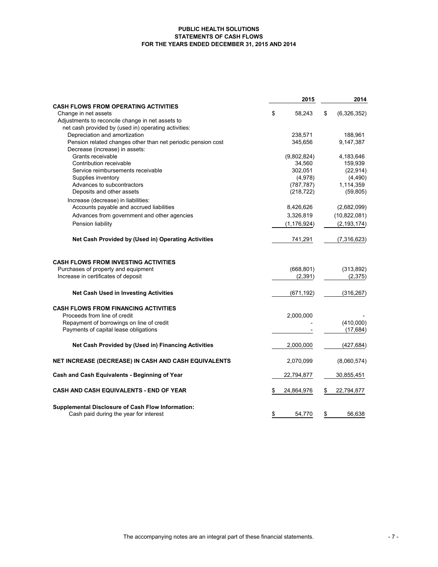#### **PUBLIC HEALTH SOLUTIONS STATEMENTS OF CASH FLOWS FOR THE YEARS ENDED DECEMBER 31, 2015 AND 2014**

|                                                                                                    | 2015          |    | 2014          |
|----------------------------------------------------------------------------------------------------|---------------|----|---------------|
| <b>CASH FLOWS FROM OPERATING ACTIVITIES</b>                                                        |               |    |               |
| Change in net assets                                                                               | \$<br>58,243  | \$ | (6,326,352)   |
| Adjustments to reconcile change in net assets to                                                   |               |    |               |
| net cash provided by (used in) operating activities:<br>Depreciation and amortization              | 238,571       |    | 188,961       |
| Pension related changes other than net periodic pension cost                                       | 345,656       |    | 9,147,387     |
| Decrease (increase) in assets:                                                                     |               |    |               |
| Grants receivable                                                                                  | (9,802,824)   |    | 4,183,646     |
| Contribution receivable                                                                            | 34,560        |    | 159,939       |
| Service reimbursements receivable                                                                  | 302,051       |    | (22, 914)     |
| Supplies inventory                                                                                 | (4,978)       |    | (4, 490)      |
| Advances to subcontractors                                                                         | (787, 787)    |    | 1,114,359     |
| Deposits and other assets                                                                          | (218, 722)    |    | (59, 805)     |
| Increase (decrease) in liabilities:                                                                |               |    |               |
| Accounts payable and accrued liabilities                                                           | 8,426,626     |    | (2,682,099)   |
| Advances from government and other agencies                                                        | 3,326,819     |    | (10,822,081)  |
| Pension liability                                                                                  | (1, 176, 924) |    | (2, 193, 174) |
| Net Cash Provided by (Used in) Operating Activities                                                | 741,291       |    | (7,316,623)   |
| <b>CASH FLOWS FROM INVESTING ACTIVITIES</b>                                                        |               |    |               |
| Purchases of property and equipment                                                                | (668, 801)    |    | (313, 892)    |
| Increase in certificates of deposit                                                                | (2, 391)      |    | (2, 375)      |
| <b>Net Cash Used in Investing Activities</b>                                                       | (671, 192)    |    | (316, 267)    |
| <b>CASH FLOWS FROM FINANCING ACTIVITIES</b>                                                        |               |    |               |
| Proceeds from line of credit                                                                       | 2,000,000     |    |               |
| Repayment of borrowings on line of credit                                                          |               |    | (410,000)     |
| Payments of capital lease obligations                                                              |               |    | (17, 684)     |
| Net Cash Provided by (Used in) Financing Activities                                                | 2,000,000     |    | (427, 684)    |
| NET INCREASE (DECREASE) IN CASH AND CASH EQUIVALENTS                                               | 2,070,099     |    | (8,060,574)   |
| Cash and Cash Equivalents - Beginning of Year                                                      | 22,794,877    |    | 30,855,451    |
| <b>CASH AND CASH EQUIVALENTS - END OF YEAR</b>                                                     | 24,864,976    | S  | 22,794,877    |
| <b>Supplemental Disclosure of Cash Flow Information:</b><br>Cash paid during the year for interest | \$<br>54.770  | \$ | 56.638        |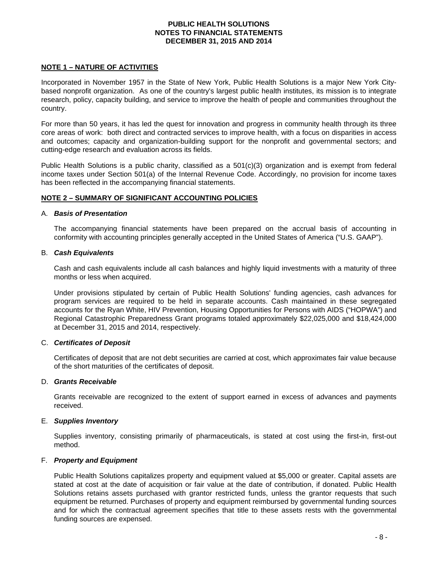## **NOTE 1 – NATURE OF ACTIVITIES**

Incorporated in November 1957 in the State of New York, Public Health Solutions is a major New York Citybased nonprofit organization. As one of the country's largest public health institutes, its mission is to integrate research, policy, capacity building, and service to improve the health of people and communities throughout the country.

For more than 50 years, it has led the quest for innovation and progress in community health through its three core areas of work: both direct and contracted services to improve health, with a focus on disparities in access and outcomes; capacity and organization-building support for the nonprofit and governmental sectors; and cutting-edge research and evaluation across its fields.

Public Health Solutions is a public charity, classified as a 501(c)(3) organization and is exempt from federal income taxes under Section 501(a) of the Internal Revenue Code. Accordingly, no provision for income taxes has been reflected in the accompanying financial statements.

## **NOTE 2 – SUMMARY OF SIGNIFICANT ACCOUNTING POLICIES**

#### A. *Basis of Presentation*

The accompanying financial statements have been prepared on the accrual basis of accounting in conformity with accounting principles generally accepted in the United States of America ("U.S. GAAP").

## B. *Cash Equivalents*

Cash and cash equivalents include all cash balances and highly liquid investments with a maturity of three months or less when acquired.

Under provisions stipulated by certain of Public Health Solutions' funding agencies, cash advances for program services are required to be held in separate accounts. Cash maintained in these segregated accounts for the Ryan White, HIV Prevention, Housing Opportunities for Persons with AIDS ("HOPWA") and Regional Catastrophic Preparedness Grant programs totaled approximately \$22,025,000 and \$18,424,000 at December 31, 2015 and 2014, respectively.

## C. *Certificates of Deposit*

Certificates of deposit that are not debt securities are carried at cost, which approximates fair value because of the short maturities of the certificates of deposit.

## D. *Grants Receivable*

Grants receivable are recognized to the extent of support earned in excess of advances and payments received.

## E. *Supplies Inventory*

Supplies inventory, consisting primarily of pharmaceuticals, is stated at cost using the first-in, first-out method.

## F. *Property and Equipment*

Public Health Solutions capitalizes property and equipment valued at \$5,000 or greater. Capital assets are stated at cost at the date of acquisition or fair value at the date of contribution, if donated. Public Health Solutions retains assets purchased with grantor restricted funds, unless the grantor requests that such equipment be returned. Purchases of property and equipment reimbursed by governmental funding sources and for which the contractual agreement specifies that title to these assets rests with the governmental funding sources are expensed.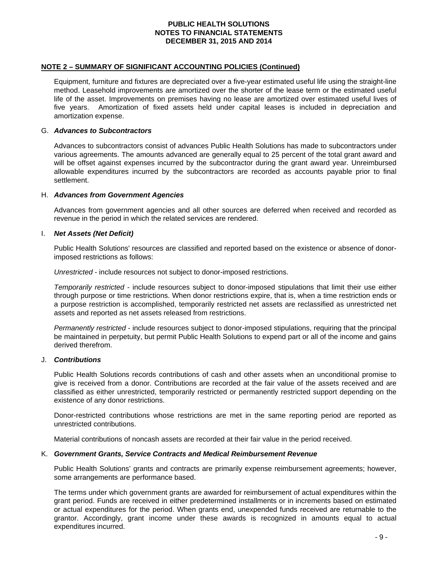#### **NOTE 2 – SUMMARY OF SIGNIFICANT ACCOUNTING POLICIES (Continued)**

Equipment, furniture and fixtures are depreciated over a five-year estimated useful life using the straight-line method. Leasehold improvements are amortized over the shorter of the lease term or the estimated useful life of the asset. Improvements on premises having no lease are amortized over estimated useful lives of five years. Amortization of fixed assets held under capital leases is included in depreciation and amortization expense.

#### G. *Advances to Subcontractors*

Advances to subcontractors consist of advances Public Health Solutions has made to subcontractors under various agreements. The amounts advanced are generally equal to 25 percent of the total grant award and will be offset against expenses incurred by the subcontractor during the grant award year. Unreimbursed allowable expenditures incurred by the subcontractors are recorded as accounts payable prior to final settlement.

#### H. *Advances from Government Agencies*

Advances from government agencies and all other sources are deferred when received and recorded as revenue in the period in which the related services are rendered.

#### I. *Net Assets (Net Deficit)*

Public Health Solutions' resources are classified and reported based on the existence or absence of donorimposed restrictions as follows:

*Unrestricted* - include resources not subject to donor-imposed restrictions.

*Temporarily restricted* - include resources subject to donor-imposed stipulations that limit their use either through purpose or time restrictions. When donor restrictions expire, that is, when a time restriction ends or a purpose restriction is accomplished, temporarily restricted net assets are reclassified as unrestricted net assets and reported as net assets released from restrictions.

*Permanently restricted* - include resources subject to donor-imposed stipulations, requiring that the principal be maintained in perpetuity, but permit Public Health Solutions to expend part or all of the income and gains derived therefrom.

#### J. *Contributions*

Public Health Solutions records contributions of cash and other assets when an unconditional promise to give is received from a donor. Contributions are recorded at the fair value of the assets received and are classified as either unrestricted, temporarily restricted or permanently restricted support depending on the existence of any donor restrictions.

Donor-restricted contributions whose restrictions are met in the same reporting period are reported as unrestricted contributions.

Material contributions of noncash assets are recorded at their fair value in the period received.

#### K. *Government Grants, Service Contracts and Medical Reimbursement Revenue*

Public Health Solutions' grants and contracts are primarily expense reimbursement agreements; however, some arrangements are performance based.

The terms under which government grants are awarded for reimbursement of actual expenditures within the grant period. Funds are received in either predetermined installments or in increments based on estimated or actual expenditures for the period. When grants end, unexpended funds received are returnable to the grantor. Accordingly, grant income under these awards is recognized in amounts equal to actual expenditures incurred.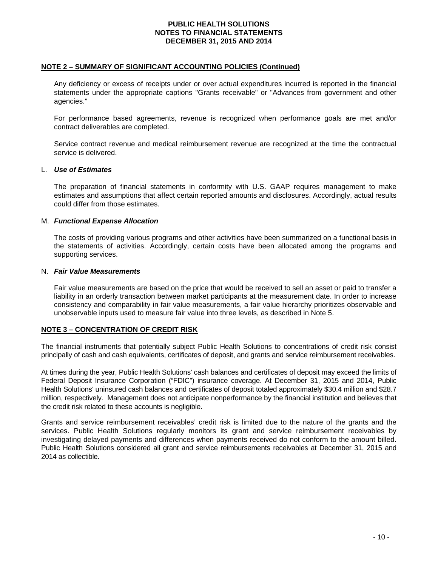#### **NOTE 2 – SUMMARY OF SIGNIFICANT ACCOUNTING POLICIES (Continued)**

Any deficiency or excess of receipts under or over actual expenditures incurred is reported in the financial statements under the appropriate captions "Grants receivable" or "Advances from government and other agencies."

For performance based agreements, revenue is recognized when performance goals are met and/or contract deliverables are completed.

Service contract revenue and medical reimbursement revenue are recognized at the time the contractual service is delivered.

#### L. *Use of Estimates*

The preparation of financial statements in conformity with U.S. GAAP requires management to make estimates and assumptions that affect certain reported amounts and disclosures. Accordingly, actual results could differ from those estimates.

#### M. *Functional Expense Allocation*

The costs of providing various programs and other activities have been summarized on a functional basis in the statements of activities. Accordingly, certain costs have been allocated among the programs and supporting services.

#### N. *Fair Value Measurements*

Fair value measurements are based on the price that would be received to sell an asset or paid to transfer a liability in an orderly transaction between market participants at the measurement date. In order to increase consistency and comparability in fair value measurements, a fair value hierarchy prioritizes observable and unobservable inputs used to measure fair value into three levels, as described in Note 5.

## **NOTE 3 – CONCENTRATION OF CREDIT RISK**

The financial instruments that potentially subject Public Health Solutions to concentrations of credit risk consist principally of cash and cash equivalents, certificates of deposit, and grants and service reimbursement receivables.

At times during the year, Public Health Solutions' cash balances and certificates of deposit may exceed the limits of Federal Deposit Insurance Corporation ("FDIC") insurance coverage. At December 31, 2015 and 2014, Public Health Solutions' uninsured cash balances and certificates of deposit totaled approximately \$30.4 million and \$28.7 million, respectively. Management does not anticipate nonperformance by the financial institution and believes that the credit risk related to these accounts is negligible.

Grants and service reimbursement receivables' credit risk is limited due to the nature of the grants and the services. Public Health Solutions regularly monitors its grant and service reimbursement receivables by investigating delayed payments and differences when payments received do not conform to the amount billed. Public Health Solutions considered all grant and service reimbursements receivables at December 31, 2015 and 2014 as collectible.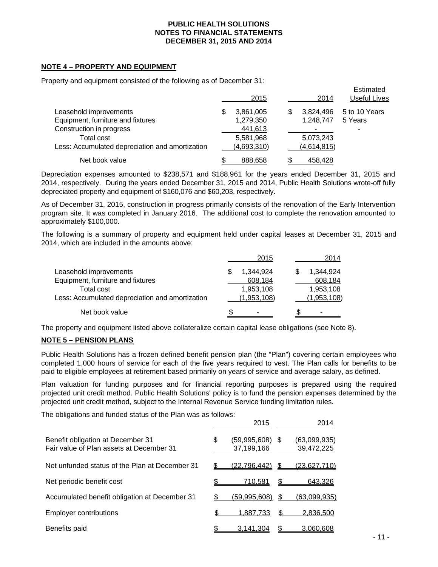## **NOTE 4 – PROPERTY AND EQUIPMENT**

Property and equipment consisted of the following as of December 31:

|                                                 | 2015           | 2014            | Estimated<br>Useful Lives |
|-------------------------------------------------|----------------|-----------------|---------------------------|
| Leasehold improvements                          | 3,861,005<br>S | 3.824.496<br>\$ | 5 to 10 Years             |
| Equipment, furniture and fixtures               | 1,279,350      | 1,248,747       | 5 Years                   |
| Construction in progress                        | 441,613        |                 |                           |
| <b>Total cost</b>                               | 5,581,968      | 5,073,243       |                           |
| Less: Accumulated depreciation and amortization | (4,693,310)    | (4,614,815)     |                           |
| Net book value                                  | 888.658        | 458,428         |                           |

Depreciation expenses amounted to \$238,571 and \$188,961 for the years ended December 31, 2015 and 2014, respectively. During the years ended December 31, 2015 and 2014, Public Health Solutions wrote-off fully depreciated property and equipment of \$160,076 and \$60,203, respectively.

As of December 31, 2015, construction in progress primarily consists of the renovation of the Early Intervention program site. It was completed in January 2016. The additional cost to complete the renovation amounted to approximately \$100,000.

The following is a summary of property and equipment held under capital leases at December 31, 2015 and 2014, which are included in the amounts above:

|                                                 | 2015        | 2014        |
|-------------------------------------------------|-------------|-------------|
| Leasehold improvements                          | 1,344,924   | 1.344.924   |
| Equipment, furniture and fixtures               | 608,184     | 608,184     |
| Total cost                                      | 1,953,108   | 1,953,108   |
| Less: Accumulated depreciation and amortization | (1,953,108) | (1,953,108) |
| Net book value                                  | \$          | -           |

The property and equipment listed above collateralize certain capital lease obligations (see Note 8).

#### **NOTE 5 – PENSION PLANS**

Public Health Solutions has a frozen defined benefit pension plan (the "Plan") covering certain employees who completed 1,000 hours of service for each of the five years required to vest. The Plan calls for benefits to be paid to eligible employees at retirement based primarily on years of service and average salary, as defined.

Plan valuation for funding purposes and for financial reporting purposes is prepared using the required projected unit credit method. Public Health Solutions' policy is to fund the pension expenses determined by the projected unit credit method, subject to the Internal Revenue Service funding limitation rules.

The obligations and funded status of the Plan was as follows:

|                                                                               | 2015                             |      | 2014                       |
|-------------------------------------------------------------------------------|----------------------------------|------|----------------------------|
| Benefit obligation at December 31<br>Fair value of Plan assets at December 31 | \$<br>(59,995,608)<br>37,199,166 | - \$ | (63,099,935)<br>39,472,225 |
| Net unfunded status of the Plan at December 31                                | (22,796,442)                     |      | <u>(23,627,710)</u>        |
| Net periodic benefit cost                                                     | 710,581                          | \$.  | 643,326                    |
| Accumulated benefit obligation at December 31                                 | <u>(59,995,608)</u>              |      | <u>(63,099,935)</u>        |
| <b>Employer contributions</b>                                                 | 1,887,733                        | \$   | 2,836,500                  |
| Benefits paid                                                                 | 3,141,304                        |      | 3.060.608                  |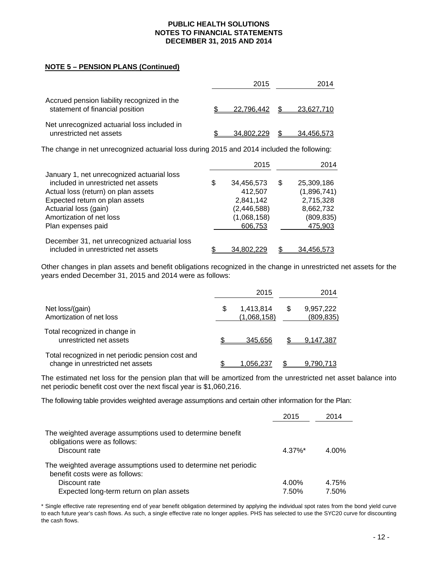## **NOTE 5 – PENSION PLANS (Continued)**

|                                                                                | 2015       | 2014       |
|--------------------------------------------------------------------------------|------------|------------|
| Accrued pension liability recognized in the<br>statement of financial position | 22.796.442 | 23,627,710 |
| Net unrecognized actuarial loss included in<br>unrestricted net assets         | 34.802.229 | 34.456.573 |

The change in net unrecognized actuarial loss during 2015 and 2014 included the following:

|                                                                                     | 2015             |     | 2014        |
|-------------------------------------------------------------------------------------|------------------|-----|-------------|
| January 1, net unrecognized actuarial loss                                          |                  |     |             |
| included in unrestricted net assets                                                 | \$<br>34,456,573 | \$. | 25,309,186  |
| Actual loss (return) on plan assets                                                 | 412,507          |     | (1,896,741) |
| Expected return on plan assets                                                      | 2,841,142        |     | 2,715,328   |
| Actuarial loss (gain)                                                               | (2, 446, 588)    |     | 8,662,732   |
| Amortization of net loss                                                            | (1,068,158)      |     | (809, 835)  |
| Plan expenses paid                                                                  | 606,753          |     | 475,903     |
| December 31, net unrecognized actuarial loss<br>included in unrestricted net assets | 34.802.2         |     |             |
|                                                                                     |                  |     | 34.456.573  |

Other changes in plan assets and benefit obligations recognized in the change in unrestricted net assets for the years ended December 31, 2015 and 2014 were as follows:

|                                                                                        | 2015                           |    | 2014                    |
|----------------------------------------------------------------------------------------|--------------------------------|----|-------------------------|
| Net loss/(gain)<br>Amortization of net loss                                            | \$<br>1,413,814<br>(1,068,158) | S. | 9,957,222<br>(809, 835) |
| Total recognized in change in<br>unrestricted net assets                               | 345.656                        |    | 9,147,387               |
| Total recognized in net periodic pension cost and<br>change in unrestricted net assets | <u>1,056,237</u>               |    | 9,790,713               |

The estimated net loss for the pension plan that will be amortized from the unrestricted net asset balance into net periodic benefit cost over the next fiscal year is \$1,060,216.

The following table provides weighted average assumptions and certain other information for the Plan:

|                                                                                                   | 2015   | 2014  |
|---------------------------------------------------------------------------------------------------|--------|-------|
| The weighted average assumptions used to determine benefit<br>obligations were as follows:        |        |       |
| Discount rate                                                                                     | 4.37%* | 4.00% |
| The weighted average assumptions used to determine net periodic<br>benefit costs were as follows: |        |       |
| Discount rate                                                                                     | 4.00%  | 4.75% |
| Expected long-term return on plan assets                                                          | 7.50%  | 7.50% |

\* Single effective rate representing end of year benefit obligation determined by applying the individual spot rates from the bond yield curve to each future year's cash flows. As such, a single effective rate no longer applies. PHS has selected to use the SYC20 curve for discounting the cash flows.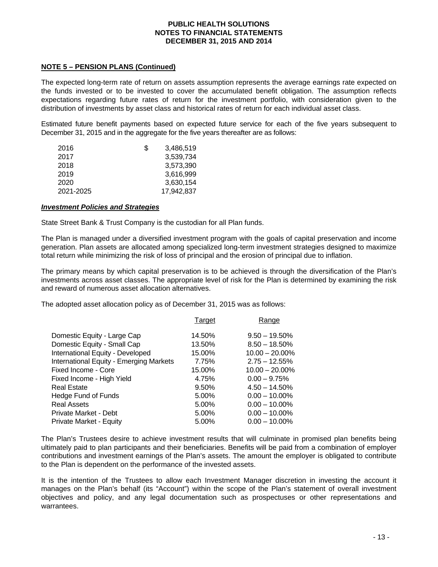## **NOTE 5 – PENSION PLANS (Continued)**

The expected long-term rate of return on assets assumption represents the average earnings rate expected on the funds invested or to be invested to cover the accumulated benefit obligation. The assumption reflects expectations regarding future rates of return for the investment portfolio, with consideration given to the distribution of investments by asset class and historical rates of return for each individual asset class.

Estimated future benefit payments based on expected future service for each of the five years subsequent to December 31, 2015 and in the aggregate for the five years thereafter are as follows:

| 2016      | 35 | 3,486,519  |
|-----------|----|------------|
| 2017      |    | 3,539,734  |
| 2018      |    | 3,573,390  |
| 2019      |    | 3,616,999  |
| 2020      |    | 3,630,154  |
| 2021-2025 |    | 17.942.837 |
|           |    |            |

#### *Investment Policies and Strategies*

State Street Bank & Trust Company is the custodian for all Plan funds.

The Plan is managed under a diversified investment program with the goals of capital preservation and income generation. Plan assets are allocated among specialized long-term investment strategies designed to maximize total return while minimizing the risk of loss of principal and the erosion of principal due to inflation.

The primary means by which capital preservation is to be achieved is through the diversification of the Plan's investments across asset classes. The appropriate level of risk for the Plan is determined by examining the risk and reward of numerous asset allocation alternatives.

The adopted asset allocation policy as of December 31, 2015 was as follows:

|                                         | Target | Range             |
|-----------------------------------------|--------|-------------------|
| Domestic Equity - Large Cap             | 14.50% | $9.50 - 19.50\%$  |
| Domestic Equity - Small Cap             | 13.50% | $8.50 - 18.50\%$  |
| International Equity - Developed        | 15.00% | $10.00 - 20.00\%$ |
| International Equity - Emerging Markets | 7.75%  | $2.75 - 12.55%$   |
| Fixed Income - Core                     | 15.00% | $10.00 - 20.00\%$ |
| Fixed Income - High Yield               | 4.75%  | $0.00 - 9.75%$    |
| <b>Real Estate</b>                      | 9.50%  | $4.50 - 14.50\%$  |
| Hedge Fund of Funds                     | 5.00%  | $0.00 - 10.00\%$  |
| <b>Real Assets</b>                      | 5.00%  | $0.00 - 10.00\%$  |
| Private Market - Debt                   | 5.00%  | $0.00 - 10.00\%$  |
| Private Market - Equity                 | 5.00%  | $0.00 - 10.00\%$  |

The Plan's Trustees desire to achieve investment results that will culminate in promised plan benefits being ultimately paid to plan participants and their beneficiaries. Benefits will be paid from a combination of employer contributions and investment earnings of the Plan's assets. The amount the employer is obligated to contribute to the Plan is dependent on the performance of the invested assets.

It is the intention of the Trustees to allow each Investment Manager discretion in investing the account it manages on the Plan's behalf (its "Account") within the scope of the Plan's statement of overall investment objectives and policy, and any legal documentation such as prospectuses or other representations and warrantees.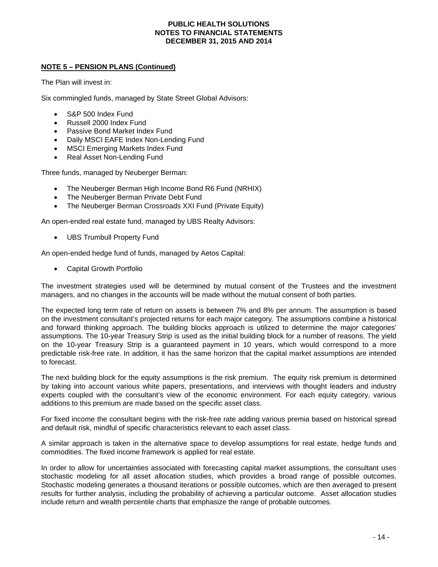## **NOTE 5 – PENSION PLANS (Continued)**

The Plan will invest in:

Six commingled funds, managed by State Street Global Advisors:

- S&P 500 Index Fund
- Russell 2000 Index Fund
- Passive Bond Market Index Fund
- Daily MSCI EAFE Index Non-Lending Fund
- MSCI Emerging Markets Index Fund
- Real Asset Non-Lending Fund

Three funds, managed by Neuberger Berman:

- The Neuberger Berman High Income Bond R6 Fund (NRHIX)
- The Neuberger Berman Private Debt Fund
- The Neuberger Berman Crossroads XXI Fund (Private Equity)

An open-ended real estate fund, managed by UBS Realty Advisors:

UBS Trumbull Property Fund

An open-ended hedge fund of funds, managed by Aetos Capital:

Capital Growth Portfolio

The investment strategies used will be determined by mutual consent of the Trustees and the investment managers, and no changes in the accounts will be made without the mutual consent of both parties.

The expected long term rate of return on assets is between 7% and 8% per annum. The assumption is based on the investment consultant's projected returns for each major category. The assumptions combine a historical and forward thinking approach. The building blocks approach is utilized to determine the major categories' assumptions. The 10-year Treasury Strip is used as the initial building block for a number of reasons. The yield on the 10-year Treasury Strip is a guaranteed payment in 10 years, which would correspond to a more predictable risk-free rate. In addition, it has the same horizon that the capital market assumptions are intended to forecast.

The next building block for the equity assumptions is the risk premium. The equity risk premium is determined by taking into account various white papers, presentations, and interviews with thought leaders and industry experts coupled with the consultant's view of the economic environment. For each equity category, various additions to this premium are made based on the specific asset class.

For fixed income the consultant begins with the risk-free rate adding various premia based on historical spread and default risk, mindful of specific characteristics relevant to each asset class.

A similar approach is taken in the alternative space to develop assumptions for real estate, hedge funds and commodities. The fixed income framework is applied for real estate.

In order to allow for uncertainties associated with forecasting capital market assumptions, the consultant uses stochastic modeling for all asset allocation studies, which provides a broad range of possible outcomes. Stochastic modeling generates a thousand iterations or possible outcomes, which are then averaged to present results for further analysis, including the probability of achieving a particular outcome. Asset allocation studies include return and wealth percentile charts that emphasize the range of probable outcomes.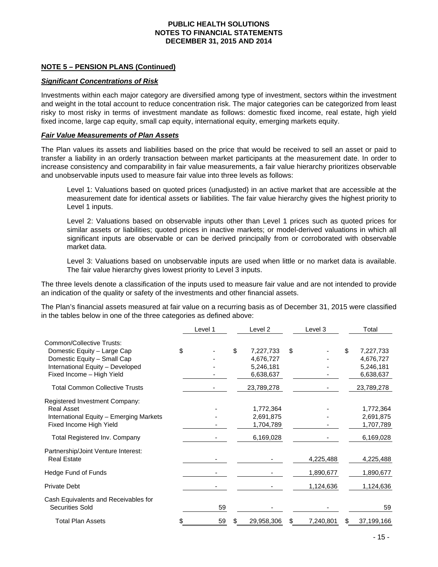## **NOTE 5 – PENSION PLANS (Continued)**

#### *Significant Concentrations of Risk*

Investments within each major category are diversified among type of investment, sectors within the investment and weight in the total account to reduce concentration risk. The major categories can be categorized from least risky to most risky in terms of investment mandate as follows: domestic fixed income, real estate, high yield fixed income, large cap equity, small cap equity, international equity, emerging markets equity.

#### *Fair Value Measurements of Plan Assets*

The Plan values its assets and liabilities based on the price that would be received to sell an asset or paid to transfer a liability in an orderly transaction between market participants at the measurement date. In order to increase consistency and comparability in fair value measurements, a fair value hierarchy prioritizes observable and unobservable inputs used to measure fair value into three levels as follows:

Level 1: Valuations based on quoted prices (unadjusted) in an active market that are accessible at the measurement date for identical assets or liabilities. The fair value hierarchy gives the highest priority to Level 1 inputs.

Level 2: Valuations based on observable inputs other than Level 1 prices such as quoted prices for similar assets or liabilities; quoted prices in inactive markets; or model-derived valuations in which all significant inputs are observable or can be derived principally from or corroborated with observable market data.

Level 3: Valuations based on unobservable inputs are used when little or no market data is available. The fair value hierarchy gives lowest priority to Level 3 inputs.

The three levels denote a classification of the inputs used to measure fair value and are not intended to provide an indication of the quality or safety of the investments and other financial assets.

The Plan's financial assets measured at fair value on a recurring basis as of December 31, 2015 were classified in the tables below in one of the three categories as defined above:

|                                         | Level 1 |    | Level 2    | Level 3   | Total            |
|-----------------------------------------|---------|----|------------|-----------|------------------|
| Common/Collective Trusts:               |         |    |            |           |                  |
| Domestic Equity - Large Cap             | \$      | \$ | 7,227,733  | \$        | \$<br>7,227,733  |
| Domestic Equity - Small Cap             |         |    | 4,676,727  |           | 4,676,727        |
| International Equity - Developed        |         |    | 5,246,181  |           | 5,246,181        |
| Fixed Income - High Yield               |         |    | 6,638,637  |           | 6,638,637        |
| <b>Total Common Collective Trusts</b>   |         |    | 23,789,278 |           | 23,789,278       |
| Registered Investment Company:          |         |    |            |           |                  |
| <b>Real Asset</b>                       |         |    | 1,772,364  |           | 1,772,364        |
| International Equity - Emerging Markets |         |    | 2,691,875  |           | 2,691,875        |
| Fixed Income High Yield                 |         |    | 1,704,789  |           | 1,707,789        |
| Total Registered Inv. Company           |         |    | 6,169,028  |           | 6,169,028        |
| Partnership/Joint Venture Interest:     |         |    |            |           |                  |
| <b>Real Estate</b>                      |         |    |            | 4,225,488 | 4,225,488        |
| Hedge Fund of Funds                     |         |    |            | 1,890,677 | 1,890,677        |
| <b>Private Debt</b>                     |         |    |            | 1,124,636 | 1,124,636        |
| Cash Equivalents and Receivables for    |         |    |            |           |                  |
| <b>Securities Sold</b>                  | 59      |    |            |           | 59               |
| <b>Total Plan Assets</b>                | 59      | Ж. | 29,958,306 | 7,240,801 | \$<br>37,199,166 |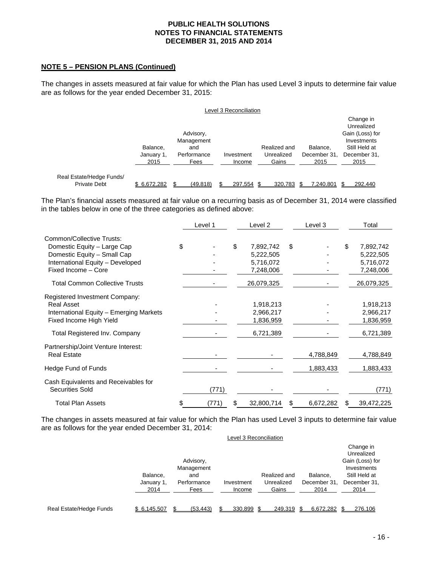## **NOTE 5 – PENSION PLANS (Continued)**

The changes in assets measured at fair value for which the Plan has used Level 3 inputs to determine fair value are as follows for the year ended December 31, 2015:

|                                                 |                                |                                                       | Level 3 Reconciliation |                                     |                                  |                                                                                                    |
|-------------------------------------------------|--------------------------------|-------------------------------------------------------|------------------------|-------------------------------------|----------------------------------|----------------------------------------------------------------------------------------------------|
|                                                 | Balance.<br>January 1,<br>2015 | Advisory,<br>Management<br>and<br>Performance<br>Fees | Investment<br>Income   | Realized and<br>Unrealized<br>Gains | Balance.<br>December 31.<br>2015 | Change in<br>Unrealized<br>Gain (Loss) for<br>Investments<br>Still Held at<br>December 31,<br>2015 |
| Real Estate/Hedge Funds/<br><b>Private Debt</b> | \$6,672,282                    | (49, 818)                                             | 297,554                | 320,783                             | 7,240,801                        | 292,440                                                                                            |

The Plan's financial assets measured at fair value on a recurring basis as of December 31, 2014 were classified in the tables below in one of the three categories as defined above:

|                                                         | Level 1     | Level 2          |    | Level 3   |    | Total      |
|---------------------------------------------------------|-------------|------------------|----|-----------|----|------------|
| <b>Common/Collective Trusts:</b>                        |             |                  |    |           |    |            |
| Domestic Equity - Large Cap                             | \$          | \$<br>7,892,742  | \$ |           | \$ | 7,892,742  |
| Domestic Equity - Small Cap                             |             | 5,222,505        |    |           |    | 5,222,505  |
| International Equity - Developed                        |             | 5,716,072        |    |           |    | 5,716,072  |
| Fixed Income - Core                                     |             | 7,248,006        |    |           |    | 7,248,006  |
| <b>Total Common Collective Trusts</b>                   |             | 26,079,325       |    |           |    | 26,079,325 |
| Registered Investment Company:                          |             |                  |    |           |    |            |
| <b>Real Asset</b>                                       |             | 1,918,213        |    |           |    | 1,918,213  |
| International Equity - Emerging Markets                 |             | 2,966,217        |    |           |    | 2,966,217  |
| Fixed Income High Yield                                 |             | 1,836,959        |    |           |    | 1,836,959  |
| Total Registered Inv. Company                           |             | 6,721,389        |    |           |    | 6,721,389  |
| Partnership/Joint Venture Interest:                     |             |                  |    |           |    |            |
| <b>Real Estate</b>                                      |             |                  |    | 4,788,849 |    | 4,788,849  |
| Hedge Fund of Funds                                     |             |                  |    | 1,883,433 |    | 1,883,433  |
| Cash Equivalents and Receivables for<br>Securities Sold | (771)       |                  |    |           |    | (771)      |
| <b>Total Plan Assets</b>                                | \$<br>(771) | \$<br>32,800,714 | S  | 6,672,282 | S  | 39,472,225 |

The changes in assets measured at fair value for which the Plan has used Level 3 inputs to determine fair value are as follows for the year ended December 31, 2014:

|                         | Balance,<br>January 1,<br>2014 | Advisory,<br>Management<br>and<br>Performance<br>Fees | Investment<br>Income | Realized and<br>Unrealized<br>Gains | Balance.<br>December 31,<br>2014 | Change in<br>Unrealized<br>Gain (Loss) for<br>Investments<br>Still Held at<br>December 31,<br>2014 |
|-------------------------|--------------------------------|-------------------------------------------------------|----------------------|-------------------------------------|----------------------------------|----------------------------------------------------------------------------------------------------|
| Real Estate/Hedge Funds | \$6.145.507                    | (53.443)                                              | 330.899 \$           | 249.319                             | 6.672.282                        | 276.106                                                                                            |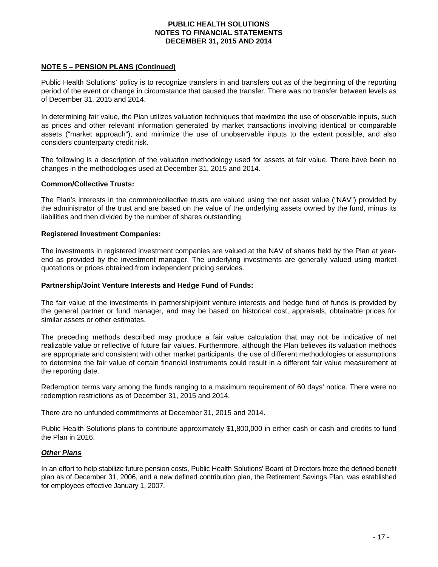## **NOTE 5 – PENSION PLANS (Continued)**

Public Health Solutions' policy is to recognize transfers in and transfers out as of the beginning of the reporting period of the event or change in circumstance that caused the transfer. There was no transfer between levels as of December 31, 2015 and 2014.

In determining fair value, the Plan utilizes valuation techniques that maximize the use of observable inputs, such as prices and other relevant information generated by market transactions involving identical or comparable assets ("market approach"), and minimize the use of unobservable inputs to the extent possible, and also considers counterparty credit risk.

The following is a description of the valuation methodology used for assets at fair value. There have been no changes in the methodologies used at December 31, 2015 and 2014.

#### **Common/Collective Trusts:**

The Plan's interests in the common/collective trusts are valued using the net asset value ("NAV") provided by the administrator of the trust and are based on the value of the underlying assets owned by the fund, minus its liabilities and then divided by the number of shares outstanding.

#### **Registered Investment Companies:**

The investments in registered investment companies are valued at the NAV of shares held by the Plan at yearend as provided by the investment manager. The underlying investments are generally valued using market quotations or prices obtained from independent pricing services.

#### **Partnership/Joint Venture Interests and Hedge Fund of Funds:**

The fair value of the investments in partnership/joint venture interests and hedge fund of funds is provided by the general partner or fund manager, and may be based on historical cost, appraisals, obtainable prices for similar assets or other estimates.

The preceding methods described may produce a fair value calculation that may not be indicative of net realizable value or reflective of future fair values. Furthermore, although the Plan believes its valuation methods are appropriate and consistent with other market participants, the use of different methodologies or assumptions to determine the fair value of certain financial instruments could result in a different fair value measurement at the reporting date.

Redemption terms vary among the funds ranging to a maximum requirement of 60 days' notice. There were no redemption restrictions as of December 31, 2015 and 2014.

There are no unfunded commitments at December 31, 2015 and 2014.

Public Health Solutions plans to contribute approximately \$1,800,000 in either cash or cash and credits to fund the Plan in 2016.

#### *Other Plans*

In an effort to help stabilize future pension costs, Public Health Solutions' Board of Directors froze the defined benefit plan as of December 31, 2006, and a new defined contribution plan, the Retirement Savings Plan, was established for employees effective January 1, 2007.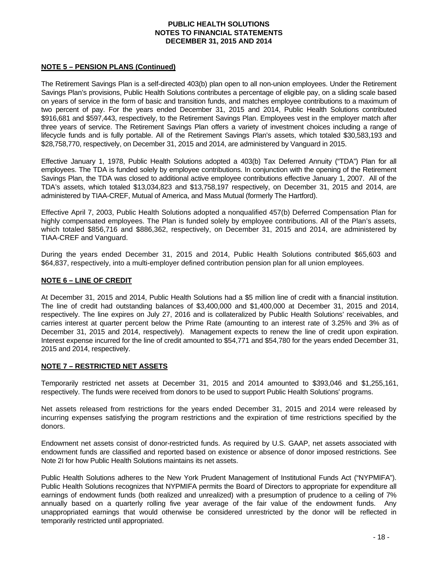## **NOTE 5 – PENSION PLANS (Continued)**

The Retirement Savings Plan is a self-directed 403(b) plan open to all non-union employees. Under the Retirement Savings Plan's provisions, Public Health Solutions contributes a percentage of eligible pay, on a sliding scale based on years of service in the form of basic and transition funds, and matches employee contributions to a maximum of two percent of pay. For the years ended December 31, 2015 and 2014, Public Health Solutions contributed \$916,681 and \$597,443, respectively, to the Retirement Savings Plan. Employees vest in the employer match after three years of service. The Retirement Savings Plan offers a variety of investment choices including a range of lifecycle funds and is fully portable. All of the Retirement Savings Plan's assets, which totaled \$30,583,193 and \$28,758,770, respectively, on December 31, 2015 and 2014, are administered by Vanguard in 2015.

Effective January 1, 1978, Public Health Solutions adopted a 403(b) Tax Deferred Annuity ("TDA") Plan for all employees. The TDA is funded solely by employee contributions. In conjunction with the opening of the Retirement Savings Plan, the TDA was closed to additional active employee contributions effective January 1, 2007. All of the TDA's assets, which totaled \$13,034,823 and \$13,758,197 respectively, on December 31, 2015 and 2014, are administered by TIAA-CREF, Mutual of America, and Mass Mutual (formerly The Hartford).

Effective April 7, 2003, Public Health Solutions adopted a nonqualified 457(b) Deferred Compensation Plan for highly compensated employees. The Plan is funded solely by employee contributions. All of the Plan's assets, which totaled \$856,716 and \$886,362, respectively, on December 31, 2015 and 2014, are administered by TIAA-CREF and Vanguard.

During the years ended December 31, 2015 and 2014, Public Health Solutions contributed \$65,603 and \$64,837, respectively, into a multi-employer defined contribution pension plan for all union employees.

## **NOTE 6 – LINE OF CREDIT**

At December 31, 2015 and 2014, Public Health Solutions had a \$5 million line of credit with a financial institution. The line of credit had outstanding balances of \$3,400,000 and \$1,400,000 at December 31, 2015 and 2014, respectively. The line expires on July 27, 2016 and is collateralized by Public Health Solutions' receivables, and carries interest at quarter percent below the Prime Rate (amounting to an interest rate of 3.25% and 3% as of December 31, 2015 and 2014, respectively). Management expects to renew the line of credit upon expiration. Interest expense incurred for the line of credit amounted to \$54,771 and \$54,780 for the years ended December 31, 2015 and 2014, respectively.

## **NOTE 7 – RESTRICTED NET ASSETS**

Temporarily restricted net assets at December 31, 2015 and 2014 amounted to \$393,046 and \$1,255,161, respectively. The funds were received from donors to be used to support Public Health Solutions' programs.

Net assets released from restrictions for the years ended December 31, 2015 and 2014 were released by incurring expenses satisfying the program restrictions and the expiration of time restrictions specified by the donors.

Endowment net assets consist of donor-restricted funds. As required by U.S. GAAP, net assets associated with endowment funds are classified and reported based on existence or absence of donor imposed restrictions. See Note 2I for how Public Health Solutions maintains its net assets.

Public Health Solutions adheres to the New York Prudent Management of Institutional Funds Act ("NYPMIFA"). Public Health Solutions recognizes that NYPMIFA permits the Board of Directors to appropriate for expenditure all earnings of endowment funds (both realized and unrealized) with a presumption of prudence to a ceiling of 7% annually based on a quarterly rolling five year average of the fair value of the endowment funds. Any unappropriated earnings that would otherwise be considered unrestricted by the donor will be reflected in temporarily restricted until appropriated.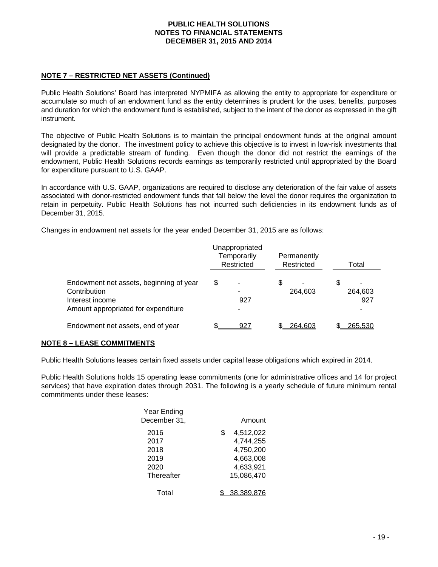## **NOTE 7 – RESTRICTED NET ASSETS (Continued)**

Public Health Solutions' Board has interpreted NYPMIFA as allowing the entity to appropriate for expenditure or accumulate so much of an endowment fund as the entity determines is prudent for the uses, benefits, purposes and duration for which the endowment fund is established, subject to the intent of the donor as expressed in the gift instrument.

The objective of Public Health Solutions is to maintain the principal endowment funds at the original amount designated by the donor. The investment policy to achieve this objective is to invest in low-risk investments that will provide a predictable stream of funding. Even though the donor did not restrict the earnings of the endowment, Public Health Solutions records earnings as temporarily restricted until appropriated by the Board for expenditure pursuant to U.S. GAAP.

In accordance with U.S. GAAP, organizations are required to disclose any deterioration of the fair value of assets associated with donor-restricted endowment funds that fall below the level the donor requires the organization to retain in perpetuity. Public Health Solutions has not incurred such deficiencies in its endowment funds as of December 31, 2015.

Changes in endowment net assets for the year ended December 31, 2015 are as follows:

|                                                                                                                   |    | Unappropriated<br>Temporarily<br>Restricted | Permanently<br>Restricted | Total |                     |  |
|-------------------------------------------------------------------------------------------------------------------|----|---------------------------------------------|---------------------------|-------|---------------------|--|
| Endowment net assets, beginning of year<br>Contribution<br>Interest income<br>Amount appropriated for expenditure | \$ | -<br>927                                    | 264,603                   | S     | -<br>264,603<br>927 |  |
| Endowment net assets, end of year                                                                                 |    | 927                                         | 264,603                   |       | <u>265,530</u>      |  |

#### **NOTE 8 – LEASE COMMITMENTS**

Public Health Solutions leases certain fixed assets under capital lease obligations which expired in 2014.

Public Health Solutions holds 15 operating lease commitments (one for administrative offices and 14 for project services) that have expiration dates through 2031. The following is a yearly schedule of future minimum rental commitments under these leases:

| Year Ending  |                 |
|--------------|-----------------|
| December 31, | Amount          |
| 2016         | \$<br>4,512,022 |
| 2017         | 4,744,255       |
| 2018         | 4,750,200       |
| 2019         | 4,663,008       |
| 2020         | 4,633,921       |
| Thereafter   | 15,086,470      |
|              |                 |
| Total        | 38.389.8        |
|              |                 |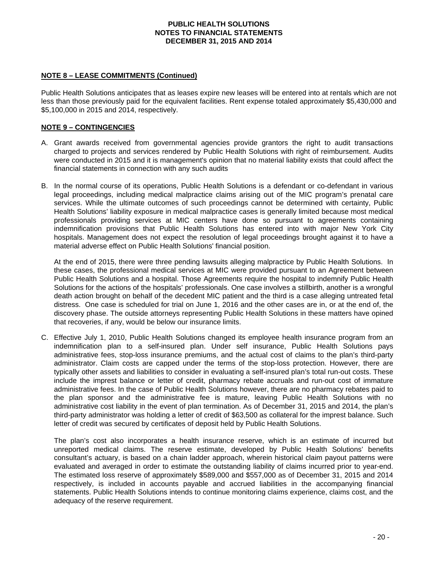#### **NOTE 8 – LEASE COMMITMENTS (Continued)**

Public Health Solutions anticipates that as leases expire new leases will be entered into at rentals which are not less than those previously paid for the equivalent facilities. Rent expense totaled approximately \$5,430,000 and \$5,100,000 in 2015 and 2014, respectively.

## **NOTE 9 – CONTINGENCIES**

- A. Grant awards received from governmental agencies provide grantors the right to audit transactions charged to projects and services rendered by Public Health Solutions with right of reimbursement. Audits were conducted in 2015 and it is management's opinion that no material liability exists that could affect the financial statements in connection with any such audits
- B. In the normal course of its operations, Public Health Solutions is a defendant or co-defendant in various legal proceedings, including medical malpractice claims arising out of the MIC program's prenatal care services. While the ultimate outcomes of such proceedings cannot be determined with certainty, Public Health Solutions' liability exposure in medical malpractice cases is generally limited because most medical professionals providing services at MIC centers have done so pursuant to agreements containing indemnification provisions that Public Health Solutions has entered into with major New York City hospitals. Management does not expect the resolution of legal proceedings brought against it to have a material adverse effect on Public Health Solutions' financial position.

At the end of 2015, there were three pending lawsuits alleging malpractice by Public Health Solutions. In these cases, the professional medical services at MIC were provided pursuant to an Agreement between Public Health Solutions and a hospital. Those Agreements require the hospital to indemnify Public Health Solutions for the actions of the hospitals' professionals. One case involves a stillbirth, another is a wrongful death action brought on behalf of the decedent MIC patient and the third is a case alleging untreated fetal distress. One case is scheduled for trial on June 1, 2016 and the other cases are in, or at the end of, the discovery phase. The outside attorneys representing Public Health Solutions in these matters have opined that recoveries, if any, would be below our insurance limits.

C. Effective July 1, 2010, Public Health Solutions changed its employee health insurance program from an indemnification plan to a self-insured plan. Under self insurance, Public Health Solutions pays administrative fees, stop-loss insurance premiums, and the actual cost of claims to the plan's third-party administrator. Claim costs are capped under the terms of the stop-loss protection. However, there are typically other assets and liabilities to consider in evaluating a self-insured plan's total run-out costs. These include the imprest balance or letter of credit, pharmacy rebate accruals and run-out cost of immature administrative fees. In the case of Public Health Solutions however, there are no pharmacy rebates paid to the plan sponsor and the administrative fee is mature, leaving Public Health Solutions with no administrative cost liability in the event of plan termination. As of December 31, 2015 and 2014, the plan's third-party administrator was holding a letter of credit of \$63,500 as collateral for the imprest balance. Such letter of credit was secured by certificates of deposit held by Public Health Solutions.

The plan's cost also incorporates a health insurance reserve, which is an estimate of incurred but unreported medical claims. The reserve estimate, developed by Public Health Solutions' benefits consultant's actuary, is based on a chain ladder approach, wherein historical claim payout patterns were evaluated and averaged in order to estimate the outstanding liability of claims incurred prior to year-end. The estimated loss reserve of approximately \$589,000 and \$557,000 as of December 31, 2015 and 2014 respectively, is included in accounts payable and accrued liabilities in the accompanying financial statements. Public Health Solutions intends to continue monitoring claims experience, claims cost, and the adequacy of the reserve requirement.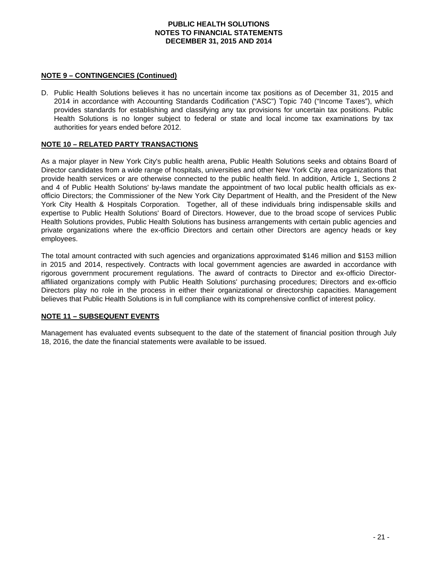## **NOTE 9 – CONTINGENCIES (Continued)**

D. Public Health Solutions believes it has no uncertain income tax positions as of December 31, 2015 and 2014 in accordance with Accounting Standards Codification ("ASC") Topic 740 ("Income Taxes"), which provides standards for establishing and classifying any tax provisions for uncertain tax positions. Public Health Solutions is no longer subject to federal or state and local income tax examinations by tax authorities for years ended before 2012.

#### **NOTE 10 – RELATED PARTY TRANSACTIONS**

As a major player in New York City's public health arena, Public Health Solutions seeks and obtains Board of Director candidates from a wide range of hospitals, universities and other New York City area organizations that provide health services or are otherwise connected to the public health field. In addition, Article 1, Sections 2 and 4 of Public Health Solutions' by-laws mandate the appointment of two local public health officials as exofficio Directors; the Commissioner of the New York City Department of Health, and the President of the New York City Health & Hospitals Corporation. Together, all of these individuals bring indispensable skills and expertise to Public Health Solutions' Board of Directors. However, due to the broad scope of services Public Health Solutions provides, Public Health Solutions has business arrangements with certain public agencies and private organizations where the ex-officio Directors and certain other Directors are agency heads or key employees.

The total amount contracted with such agencies and organizations approximated \$146 million and \$153 million in 2015 and 2014, respectively. Contracts with local government agencies are awarded in accordance with rigorous government procurement regulations. The award of contracts to Director and ex-officio Directoraffiliated organizations comply with Public Health Solutions' purchasing procedures; Directors and ex-officio Directors play no role in the process in either their organizational or directorship capacities. Management believes that Public Health Solutions is in full compliance with its comprehensive conflict of interest policy.

## **NOTE 11 – SUBSEQUENT EVENTS**

Management has evaluated events subsequent to the date of the statement of financial position through July 18, 2016, the date the financial statements were available to be issued.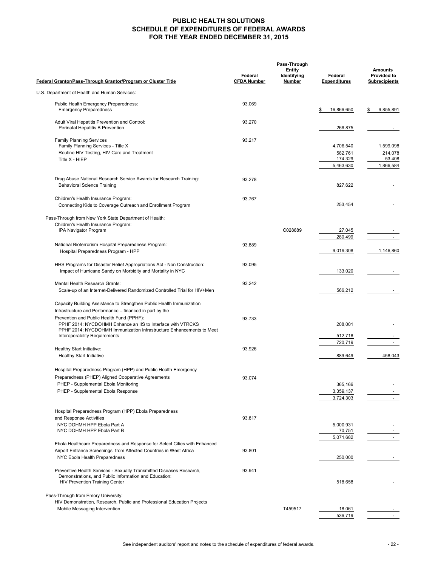## **PUBLIC HEALTH SOLUTIONS SCHEDULE OF EXPENDITURES OF FEDERAL AWARDS FOR THE YEAR ENDED DECEMBER 31, 2015**

|                                                                                                                                                                                  |                               | Pass-Through                                  |                                |                                                              |
|----------------------------------------------------------------------------------------------------------------------------------------------------------------------------------|-------------------------------|-----------------------------------------------|--------------------------------|--------------------------------------------------------------|
| Federal Grantor/Pass-Through Grantor/Program or Cluster Title                                                                                                                    | Federal<br><b>CFDA Number</b> | <b>Entity</b><br>Identifying<br><b>Number</b> | Federal<br><b>Expenditures</b> | <b>Amounts</b><br><b>Provided to</b><br><b>Subrecipients</b> |
| U.S. Department of Health and Human Services:                                                                                                                                    |                               |                                               |                                |                                                              |
| Public Health Emergency Preparedness:<br><b>Emergency Preparedness</b>                                                                                                           | 93.069                        |                                               | 16,866,650<br>\$               | 9,855,891<br>\$                                              |
| Adult Viral Hepatitis Prevention and Control:<br>Perinatal Hepatitis B Prevention                                                                                                | 93.270                        |                                               | 266,875                        |                                                              |
| <b>Family Planning Services</b><br>Family Planning Services - Title X<br>Routine HIV Testing, HIV Care and Treatment                                                             | 93.217                        |                                               | 4,706,540<br>582.761           | 1,599,098                                                    |
| Title X - HIEP                                                                                                                                                                   |                               |                                               | 174,329<br>5,463,630           | 214,078<br>53,408<br>1,866,584                               |
| Drug Abuse National Research Service Awards for Research Training:<br><b>Behavioral Science Training</b>                                                                         | 93.278                        |                                               | 827,622                        |                                                              |
| Children's Health Insurance Program:<br>Connecting Kids to Coverage Outreach and Enrollment Program                                                                              | 93.767                        |                                               | 253,454                        |                                                              |
| Pass-Through from New York State Department of Health:                                                                                                                           |                               |                                               |                                |                                                              |
| Children's Health Insurance Program:<br>IPA Navigator Program                                                                                                                    |                               | C028889                                       | 27,045<br>280.499              |                                                              |
| National Bioterrorism Hospital Preparedness Program:<br>Hospital Preparedness Program - HPP                                                                                      | 93.889                        |                                               | 9,019,308                      | 1,146,860                                                    |
| HHS Programs for Disaster Relief Appropriations Act - Non Construction:<br>Impact of Hurricane Sandy on Morbidity and Mortality in NYC                                           | 93.095                        |                                               | 133,020                        |                                                              |
| Mental Health Research Grants:<br>Scale-up of an Internet-Delivered Randomized Controlled Trial for HIV+Men                                                                      | 93.242                        |                                               | 566,212                        |                                                              |
| Capacity Building Assistance to Strengthen Public Health Immunization<br>Infrastructure and Performance - financed in part by the                                                |                               |                                               |                                |                                                              |
| Prevention and Public Health Fund (PPHF):<br>PPHF 2014: NYCDOHMH Enhance an IIS to Interface with VTRCKS<br>PPHF 2014: NYCDOHMH Immunization Infrastructure Enhancements to Meet | 93.733                        |                                               | 208,001                        |                                                              |
| Interoperability Requirements                                                                                                                                                    |                               |                                               | 512,718<br>720,719             | $\sim$                                                       |
| Healthy Start Initiative:<br><b>Healthy Start Initiative</b>                                                                                                                     | 93.926                        |                                               | 889,649                        | 458,043                                                      |
| Hospital Preparedness Program (HPP) and Public Health Emergency<br>Preparedness (PHEP) Aligned Cooperative Agreements                                                            | 93.074                        |                                               |                                |                                                              |
| PHEP - Supplemental Ebola Monitoring<br>PHEP - Supplemental Ebola Response                                                                                                       |                               |                                               | 365,166<br>3,359,137           |                                                              |
|                                                                                                                                                                                  |                               |                                               | 3,724,303                      |                                                              |
| Hospital Preparedness Program (HPP) Ebola Preparedness<br>and Response Activities<br>NYC DOHMH HPP Ebola Part A<br>NYC DOHMH HPP Ebola Part B                                    | 93.817                        |                                               | 5,000,931<br>70,751            |                                                              |
| Ebola Healthcare Preparedness and Response for Select Cities with Enhanced                                                                                                       |                               |                                               | 5,071,682                      |                                                              |
| Airport Entrance Screenings from Affected Countries in West Africa<br>NYC Ebola Health Preparedness                                                                              | 93.801                        |                                               | 250,000                        |                                                              |
| Preventive Health Services - Sexually Transmitted Diseases Research,<br>Demonstrations, and Public Information and Education:<br><b>HIV Prevention Training Center</b>           | 93.941                        |                                               | 518,658                        |                                                              |
| Pass-Through from Emory University:<br>HIV Demonstration, Research, Public and Professional Education Projects                                                                   |                               |                                               |                                |                                                              |
| Mobile Messaging Intervention                                                                                                                                                    |                               | T459517                                       | 18,061<br>536,719              |                                                              |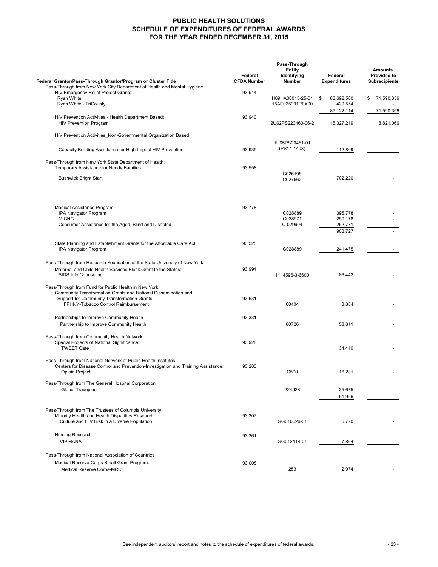## **PUBLIC HEALTH SOLUTIONS SCHEDULE OF EXPENDITURES OF FEDERAL AWARDS FOR THE YEAR ENDED DECEMBER 31, 2015**

| Federal Grantor/Pass-Through Grantor/Program or Cluster Title                     | Federal<br><b>CFDA Number</b> | <b>Entity</b><br>Identifying<br>Number | Federal<br><b>Expenditures</b> | <b>Amounts</b><br><b>Provided to</b><br><b>Subrecipients</b> |
|-----------------------------------------------------------------------------------|-------------------------------|----------------------------------------|--------------------------------|--------------------------------------------------------------|
| Pass-Through from New York City Department of Health and Mental Hygiene:          |                               |                                        |                                |                                                              |
| HIV Emergency Relief Project Grants:<br>Ryan White                                | 93.914                        | H89HA00015-25-01                       | 88,692,560<br>\$               | 71,590,356<br>\$                                             |
| Ryan White - TriCounty                                                            |                               | 15AE025901R0X00                        | 429,554                        |                                                              |
|                                                                                   |                               |                                        | 89, 122, 114                   | 71,590,356                                                   |
| HIV Prevention Activities - Health Department Based:                              | 93.940                        |                                        |                                |                                                              |
| <b>HIV Prevention Program</b>                                                     |                               | 2U62PS223460-06-2                      | 15,327,219                     | 8,821,066                                                    |
|                                                                                   |                               |                                        |                                |                                                              |
| HIV Prevention Activities_Non-Governmental Organization Based                     |                               |                                        |                                |                                                              |
|                                                                                   |                               | 1U65PS00451-01                         |                                |                                                              |
| Capacity Building Assistance for High-Impact HIV Prevention                       | 93.939                        | (PS14-1403)                            | 112,809                        |                                                              |
|                                                                                   |                               |                                        |                                |                                                              |
| Pass-Through from New York State Department of Health:                            |                               |                                        |                                |                                                              |
| Temporary Assistance for Needy Families:                                          | 93.558                        |                                        |                                |                                                              |
| <b>Bushwick Bright Start</b>                                                      |                               | C026198                                | 702,220                        |                                                              |
|                                                                                   |                               | C027562                                |                                |                                                              |
|                                                                                   |                               |                                        |                                |                                                              |
| Medical Assistance Program:                                                       | 93.778                        |                                        |                                |                                                              |
| IPA Navigator Program                                                             |                               | C028889                                | 395,778                        |                                                              |
| <b>MICHC</b>                                                                      |                               | C028971                                | 250,178                        |                                                              |
| Consumer Assistance for the Aged, Blind and Disabled                              |                               | C-029904                               | 262,771                        |                                                              |
|                                                                                   |                               |                                        | 908,727                        | $\sim$                                                       |
|                                                                                   |                               |                                        |                                |                                                              |
| State Planning and Establishment Grants for the Affordable Care Act:              | 93.525                        | C028889                                |                                |                                                              |
| IPA Navigator Program                                                             |                               |                                        | 241,475                        |                                                              |
| Pass-Through from Research Foundation of the State University of New York:        |                               |                                        |                                |                                                              |
| Maternal and Child Health Services Block Grant to the States:                     | 93.994                        |                                        |                                |                                                              |
| SIDS Info Counseling                                                              |                               | 1114596-3-6600                         | 186,442                        |                                                              |
|                                                                                   |                               |                                        |                                |                                                              |
| Pass-Through from Fund for Public Health in New York:                             |                               |                                        |                                |                                                              |
| Community Transformation Grants and National Dissemination and                    |                               |                                        |                                |                                                              |
| Support for Community Transformation Grants:                                      | 93.531                        |                                        |                                |                                                              |
| FPHNY-Tobacco Control Reimbursement                                               |                               | 80404                                  | 8,884                          |                                                              |
|                                                                                   |                               |                                        |                                |                                                              |
| Partnerships to Improve Community Health                                          | 93.331                        |                                        |                                |                                                              |
| Partnership to Improve Community Health                                           |                               | 80726                                  | 58,811                         |                                                              |
| Pass-Through from Community Health Network:                                       |                               |                                        |                                |                                                              |
| Special Projects of National Significance:                                        | 93.928                        |                                        |                                |                                                              |
| <b>TWEET Care</b>                                                                 |                               |                                        | 34,410                         |                                                              |
|                                                                                   |                               |                                        |                                |                                                              |
| Pass-Through from National Network of Public Health Institutes :                  |                               |                                        |                                |                                                              |
| Centers for Disease Control and Prevention-Investigation and Training Assistance: | 93.283                        |                                        |                                |                                                              |
| <b>Opioid Project</b>                                                             |                               | C500                                   | 16,281                         |                                                              |
| Pass-Through from The General Hospital Corporation                                |                               |                                        |                                |                                                              |
| <b>Global Travepinet</b>                                                          |                               | 224928                                 | 35,675                         |                                                              |
|                                                                                   |                               |                                        | 51,956                         |                                                              |
|                                                                                   |                               |                                        |                                |                                                              |
| Pass-Through from The Trustees of Columbia University                             |                               |                                        |                                |                                                              |
| Minority Health and Health Disparities Research:                                  | 93.307                        |                                        |                                |                                                              |
| Culture and HIV Risk in a Diverse Population                                      |                               | GG010626-01                            | 6,770                          |                                                              |
|                                                                                   |                               |                                        |                                |                                                              |
| Nursing Research                                                                  | 93.361                        |                                        |                                |                                                              |
| <b>VIP HANA</b>                                                                   |                               | GG012114-01                            | 7,864                          |                                                              |
|                                                                                   |                               |                                        |                                |                                                              |
| Pass-Through from National Association of Countries                               |                               |                                        |                                |                                                              |
| Medical Reserve Corps Small Grant Program:                                        | 93.008                        |                                        |                                |                                                              |
| Medical Reserve Corps-MRC                                                         |                               | 253                                    | 2,974                          |                                                              |
|                                                                                   |                               |                                        |                                |                                                              |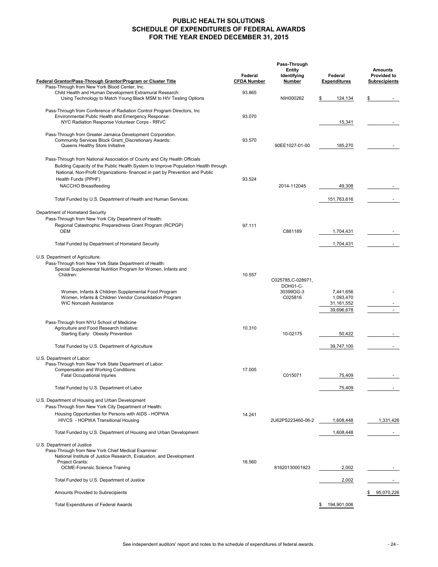## **PUBLIC HEALTH SOLUTIONS SCHEDULE OF EXPENDITURES OF FEDERAL AWARDS FOR THE YEAR ENDED DECEMBER 31, 2015**

|                                                                                                                                                                                                                                                                                                                           | Pass-Through                  |                                                        |                                                      |                                                              |  |
|---------------------------------------------------------------------------------------------------------------------------------------------------------------------------------------------------------------------------------------------------------------------------------------------------------------------------|-------------------------------|--------------------------------------------------------|------------------------------------------------------|--------------------------------------------------------------|--|
| Federal Grantor/Pass-Through Grantor/Program or Cluster Title                                                                                                                                                                                                                                                             | Federal<br><b>CFDA Number</b> | <b>Entity</b><br>Identifying<br>Number                 | Federal<br><b>Expenditures</b>                       | <b>Amounts</b><br><b>Provided to</b><br><b>Subrecipients</b> |  |
| Pass-Through from New York Blood Center, Inc.<br>Child Health and Human Development Extramural Research:<br>Using Technology to Match Young Black MSM to HIV Testing Options                                                                                                                                              | 93.865                        | NIH000262                                              | 124,134<br>\$                                        |                                                              |  |
| Pass-Through from Conference of Radiation Control Program Directors, Inc.<br>Environmental Public Health and Emergency Response:<br>NYC Radiation Response Volunteer Corps - RRVC                                                                                                                                         | 93.070                        |                                                        | 15,341                                               |                                                              |  |
| Pass-Through from Greater Jamaica Development Corporation.<br>Community Services Block Grant Discretionary Awards:<br>Queens Healthy Store Initiative                                                                                                                                                                     | 93.570                        | 90EE1027-01-00                                         | 185,270                                              |                                                              |  |
| Pass-Through from National Association of County and City Health Officials<br>Building Capacity of the Public Health System to Improve Population Health through<br>National, Non-Profit Organizations- financed in part by Prevention and Public<br>Health Funds (PPHF)<br>NACCHO Breastfeeding                          | 93.524                        | 2014-112045                                            | 49,308                                               |                                                              |  |
| Total Funded by U.S. Department of Health and Human Services:                                                                                                                                                                                                                                                             |                               |                                                        | 151,763,616                                          |                                                              |  |
| Department of Homeland Security<br>Pass-Through from New York City Department of Health:<br>Regional Catastrophic Preparedness Grant Program (RCPGP)<br>OEM<br>Total Funded by Department of Homeland Security                                                                                                            | 97.111                        | C881189                                                | 1,704,431<br>1,704,431                               |                                                              |  |
| U.S. Department of Agriculture:<br>Pass-Through from New York State Department of Health:<br>Special Supplemental Nutrition Program for Women, Infants and<br>Children:<br>Women, Infants & Children Supplemental Food Program<br>Women, Infants & Children Vendor Consolidation Program<br><b>WIC Noncash Assistance</b> | 10.557                        | C025785, C-028971,<br>DOH01-C-<br>30399GG-3<br>C025816 | 7,441,656<br>1,093,470<br>31, 161, 552<br>39,696,678 |                                                              |  |
| Pass-Through from NYU School of Medicine<br>Agriculture and Food Research Initiative:<br>Starting Early: Obesity Prevention                                                                                                                                                                                               | 10.310                        | 10-02175                                               | 50,422                                               |                                                              |  |
| Total Funded by U.S. Department of Agriculture                                                                                                                                                                                                                                                                            |                               |                                                        | 39,747,100                                           |                                                              |  |
| U.S. Department of Labor:<br>Pass-Through from New York State Department of Labor:<br>Compensation and Working Conditions:<br><b>Fatal Occupational Injuries</b>                                                                                                                                                          | 17.005                        | C015071                                                | 75,409                                               |                                                              |  |
| Total Funded by U.S. Department of Labor                                                                                                                                                                                                                                                                                  |                               |                                                        | 75,409                                               |                                                              |  |
| U.S. Department of Housing and Urban Development<br>Pass-Through from New York City Department of Health:<br>Housing Opportunities for Persons with AIDS - HOPWA<br>HIVCS - HOPWA Transitional Housing<br>Total Funded by U.S. Department of Housing and Urban Development                                                | 14.241                        | 2U62PS223460-06-2                                      | 1,608,448<br>1,608,448                               | 1,331,426                                                    |  |
| U.S. Department of Justice                                                                                                                                                                                                                                                                                                |                               |                                                        |                                                      |                                                              |  |
| Pass-Through from New York Chief Medical Examiner:<br>National Institute of Justice Research, Evaluation, and Development<br>Project Grants:<br><b>OCME-Forensic Science Training</b>                                                                                                                                     | 16.560                        | 81620130001923                                         | 2,002                                                |                                                              |  |
| Total Funded by U.S. Department of Justice                                                                                                                                                                                                                                                                                |                               |                                                        | 2,002                                                |                                                              |  |
| Amounts Provided to Subrecipients                                                                                                                                                                                                                                                                                         |                               |                                                        |                                                      | 95,070,226                                                   |  |
| <b>Total Expenditures of Federal Awards</b>                                                                                                                                                                                                                                                                               |                               |                                                        | 194,901,006<br>\$                                    |                                                              |  |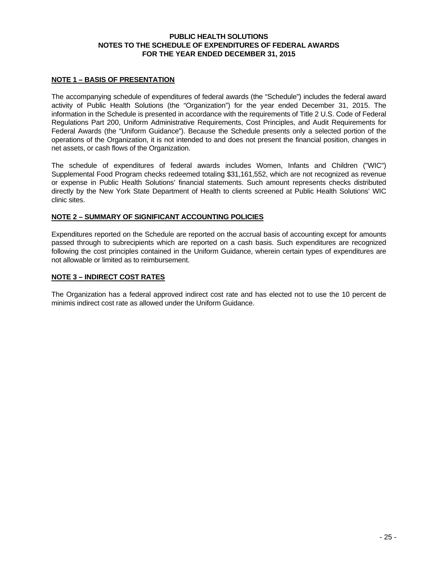#### **PUBLIC HEALTH SOLUTIONS NOTES TO THE SCHEDULE OF EXPENDITURES OF FEDERAL AWARDS FOR THE YEAR ENDED DECEMBER 31, 2015**

#### **NOTE 1 – BASIS OF PRESENTATION**

The accompanying schedule of expenditures of federal awards (the "Schedule") includes the federal award activity of Public Health Solutions (the "Organization") for the year ended December 31, 2015. The information in the Schedule is presented in accordance with the requirements of Title 2 U.S. Code of Federal Regulations Part 200, Uniform Administrative Requirements, Cost Principles, and Audit Requirements for Federal Awards (the "Uniform Guidance"). Because the Schedule presents only a selected portion of the operations of the Organization, it is not intended to and does not present the financial position, changes in net assets, or cash flows of the Organization.

The schedule of expenditures of federal awards includes Women, Infants and Children ("WIC") Supplemental Food Program checks redeemed totaling \$31,161,552, which are not recognized as revenue or expense in Public Health Solutions' financial statements. Such amount represents checks distributed directly by the New York State Department of Health to clients screened at Public Health Solutions' WIC clinic sites.

## **NOTE 2 – SUMMARY OF SIGNIFICANT ACCOUNTING POLICIES**

Expenditures reported on the Schedule are reported on the accrual basis of accounting except for amounts passed through to subrecipients which are reported on a cash basis. Such expenditures are recognized following the cost principles contained in the Uniform Guidance, wherein certain types of expenditures are not allowable or limited as to reimbursement.

#### **NOTE 3 – INDIRECT COST RATES**

The Organization has a federal approved indirect cost rate and has elected not to use the 10 percent de minimis indirect cost rate as allowed under the Uniform Guidance.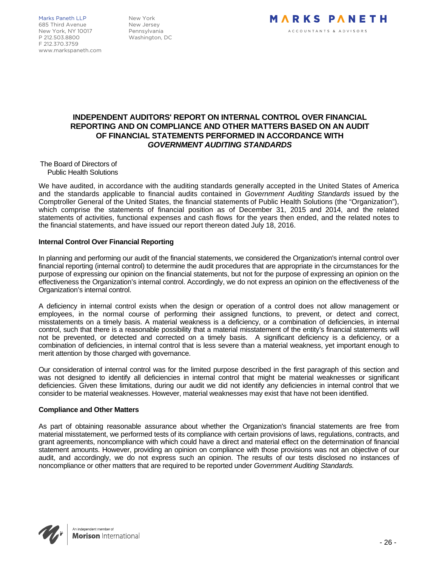Marks Paneth LLP New York 685 Third Avenue New Jersey<br>New York NY 10017 Pennsylvania New York, NY 10017 P 212.503.8800 Washington, DC F 212.370.3759 www.markspaneth.com



## **INDEPENDENT AUDITORS' REPORT ON INTERNAL CONTROL OVER FINANCIAL REPORTING AND ON COMPLIANCE AND OTHER MATTERS BASED ON AN AUDIT OF FINANCIAL STATEMENTS PERFORMED IN ACCORDANCE WITH**  *GOVERNMENT AUDITING STANDARDS*

The Board of Directors of Public Health Solutions

We have audited, in accordance with the auditing standards generally accepted in the United States of America and the standards applicable to financial audits contained in *Government Auditing Standards* issued by the Comptroller General of the United States, the financial statements of Public Health Solutions (the "Organization"), which comprise the statements of financial position as of December 31, 2015 and 2014, and the related statements of activities, functional expenses and cash flows for the years then ended, and the related notes to the financial statements, and have issued our report thereon dated July 18, 2016.

#### **Internal Control Over Financial Reporting**

In planning and performing our audit of the financial statements, we considered the Organization's internal control over financial reporting (internal control) to determine the audit procedures that are appropriate in the circumstances for the purpose of expressing our opinion on the financial statements, but not for the purpose of expressing an opinion on the effectiveness the Organization's internal control. Accordingly, we do not express an opinion on the effectiveness of the Organization's internal control.

A deficiency in internal control exists when the design or operation of a control does not allow management or employees, in the normal course of performing their assigned functions, to prevent, or detect and correct, misstatements on a timely basis. A material weakness is a deficiency, or a combination of deficiencies, in internal control, such that there is a reasonable possibility that a material misstatement of the entity's financial statements will not be prevented, or detected and corrected on a timely basis. A significant deficiency is a deficiency, or a combination of deficiencies, in internal control that is less severe than a material weakness, yet important enough to merit attention by those charged with governance.

Our consideration of internal control was for the limited purpose described in the first paragraph of this section and was not designed to identify all deficiencies in internal control that might be material weaknesses or significant deficiencies. Given these limitations, during our audit we did not identify any deficiencies in internal control that we consider to be material weaknesses. However, material weaknesses may exist that have not been identified.

#### **Compliance and Other Matters**

As part of obtaining reasonable assurance about whether the Organization's financial statements are free from material misstatement, we performed tests of its compliance with certain provisions of laws, regulations, contracts, and grant agreements, noncompliance with which could have a direct and material effect on the determination of financial statement amounts. However, providing an opinion on compliance with those provisions was not an objective of our audit, and accordingly, we do not express such an opinion. The results of our tests disclosed no instances of noncompliance or other matters that are required to be reported under *Government Auditing Standards.*

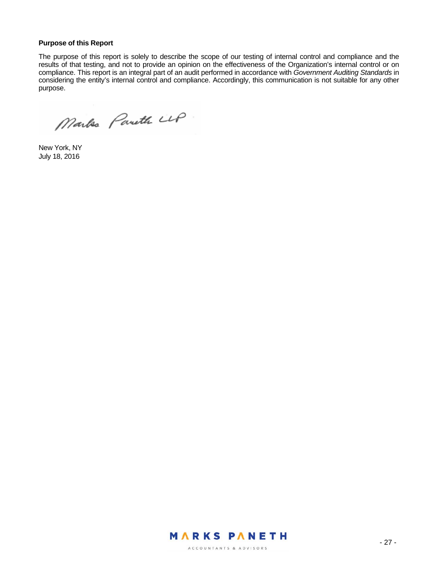#### **Purpose of this Report**

The purpose of this report is solely to describe the scope of our testing of internal control and compliance and the results of that testing, and not to provide an opinion on the effectiveness of the Organization's internal control or on compliance. This report is an integral part of an audit performed in accordance with *Government Auditing Standards* in considering the entity's internal control and compliance. Accordingly, this communication is not suitable for any other purpose.

Marks Pareth LLP

New York, NY July 18, 2016

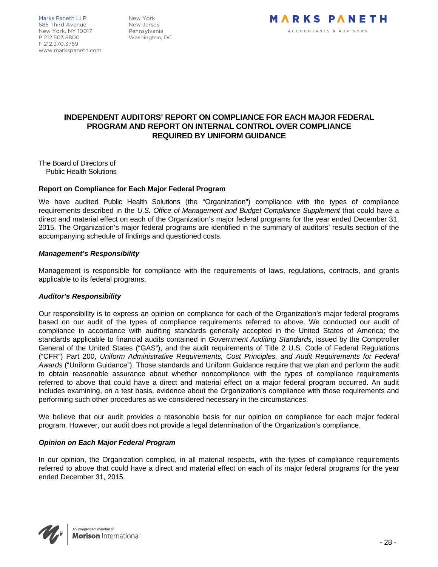Marks Paneth LLP New York 685 Third Avenue New Jersey<br>New York, NY 10017 Pennsylvania New York, NY 10017 P 212.503.8800 Washington, DC F 212.370.3759 www.markspaneth.com



## **INDEPENDENT AUDITORS' REPORT ON COMPLIANCE FOR EACH MAJOR FEDERAL PROGRAM AND REPORT ON INTERNAL CONTROL OVER COMPLIANCE REQUIRED BY UNIFORM GUIDANCE**

The Board of Directors of Public Health Solutions

#### **Report on Compliance for Each Major Federal Program**

We have audited Public Health Solutions (the "Organization") compliance with the types of compliance requirements described in the *U.S. Office of Management and Budget Compliance Supplement* that could have a direct and material effect on each of the Organization's major federal programs for the year ended December 31, 2015. The Organization's major federal programs are identified in the summary of auditors' results section of the accompanying schedule of findings and questioned costs.

#### *Management's Responsibility*

Management is responsible for compliance with the requirements of laws, regulations, contracts, and grants applicable to its federal programs.

#### *Auditor's Responsibility*

Our responsibility is to express an opinion on compliance for each of the Organization's major federal programs based on our audit of the types of compliance requirements referred to above. We conducted our audit of compliance in accordance with auditing standards generally accepted in the United States of America; the standards applicable to financial audits contained in *Government Auditing Standards*, issued by the Comptroller General of the United States ("GAS"), and the audit requirements of Title 2 U.S. Code of Federal Regulations ("CFR") Part 200, *Uniform Administrative Requirements, Cost Principles, and Audit Requirements for Federal Awards* ("Uniform Guidance"). Those standards and Uniform Guidance require that we plan and perform the audit to obtain reasonable assurance about whether noncompliance with the types of compliance requirements referred to above that could have a direct and material effect on a major federal program occurred. An audit includes examining, on a test basis, evidence about the Organization's compliance with those requirements and performing such other procedures as we considered necessary in the circumstances.

We believe that our audit provides a reasonable basis for our opinion on compliance for each major federal program. However, our audit does not provide a legal determination of the Organization's compliance.

#### *Opinion on Each Major Federal Program*

In our opinion, the Organization complied, in all material respects, with the types of compliance requirements referred to above that could have a direct and material effect on each of its major federal programs for the year ended December 31, 2015.

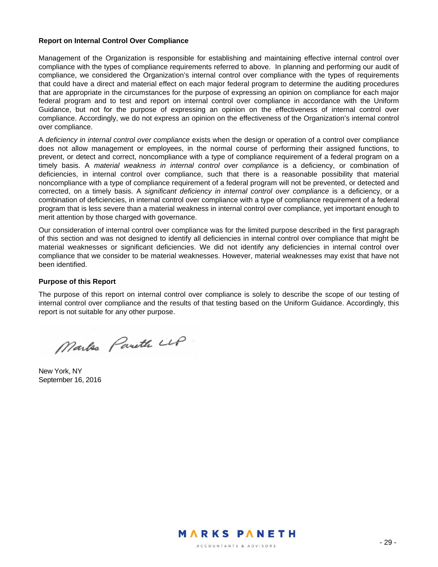#### **Report on Internal Control Over Compliance**

Management of the Organization is responsible for establishing and maintaining effective internal control over compliance with the types of compliance requirements referred to above. In planning and performing our audit of compliance, we considered the Organization's internal control over compliance with the types of requirements that could have a direct and material effect on each major federal program to determine the auditing procedures that are appropriate in the circumstances for the purpose of expressing an opinion on compliance for each major federal program and to test and report on internal control over compliance in accordance with the Uniform Guidance, but not for the purpose of expressing an opinion on the effectiveness of internal control over compliance. Accordingly, we do not express an opinion on the effectiveness of the Organization's internal control over compliance.

A *deficiency in internal control over compliance* exists when the design or operation of a control over compliance does not allow management or employees, in the normal course of performing their assigned functions, to prevent, or detect and correct, noncompliance with a type of compliance requirement of a federal program on a timely basis. A *material weakness in internal control over compliance* is a deficiency, or combination of deficiencies, in internal control over compliance, such that there is a reasonable possibility that material noncompliance with a type of compliance requirement of a federal program will not be prevented, or detected and corrected, on a timely basis. A *significant deficiency in internal control over compliance* is a deficiency, or a combination of deficiencies, in internal control over compliance with a type of compliance requirement of a federal program that is less severe than a material weakness in internal control over compliance, yet important enough to merit attention by those charged with governance.

Our consideration of internal control over compliance was for the limited purpose described in the first paragraph of this section and was not designed to identify all deficiencies in internal control over compliance that might be material weaknesses or significant deficiencies. We did not identify any deficiencies in internal control over compliance that we consider to be material weaknesses. However, material weaknesses may exist that have not been identified.

#### **Purpose of this Report**

The purpose of this report on internal control over compliance is solely to describe the scope of our testing of internal control over compliance and the results of that testing based on the Uniform Guidance. Accordingly, this report is not suitable for any other purpose.

Marks Pareth LLP

New York, NY September 16, 2016

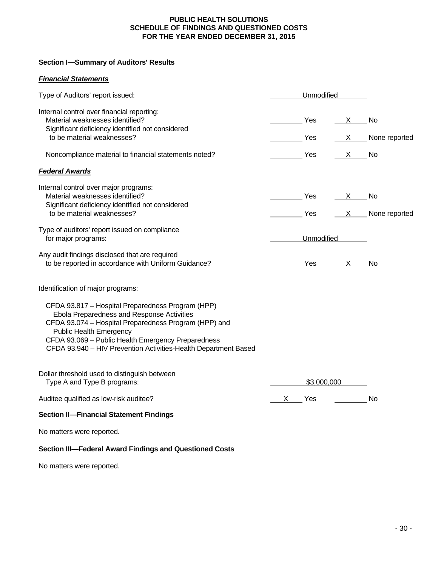### **PUBLIC HEALTH SOLUTIONS SCHEDULE OF FINDINGS AND QUESTIONED COSTS FOR THE YEAR ENDED DECEMBER 31, 2015**

## **Section I—Summary of Auditors' Results**

## *Financial Statements*

| Type of Auditors' report issued:                                                                                                                                                                                                                                                                                    |                       | Unmodified |                  |                   |
|---------------------------------------------------------------------------------------------------------------------------------------------------------------------------------------------------------------------------------------------------------------------------------------------------------------------|-----------------------|------------|------------------|-------------------|
| Internal control over financial reporting:<br>Material weaknesses identified?<br>Significant deficiency identified not considered<br>to be material weaknesses?                                                                                                                                                     | a a that a thread Yes |            | $\frac{X}{1}$ No |                   |
|                                                                                                                                                                                                                                                                                                                     |                       | Yes        |                  | X None reported   |
| Noncompliance material to financial statements noted?                                                                                                                                                                                                                                                               | <u>rando de Yes</u>   |            | $X$ No           |                   |
| <b>Federal Awards</b>                                                                                                                                                                                                                                                                                               |                       |            |                  |                   |
| Internal control over major programs:<br>Material weaknesses identified?<br>Significant deficiency identified not considered                                                                                                                                                                                        |                       | Yes        | $X$ No           |                   |
| to be material weaknesses?                                                                                                                                                                                                                                                                                          |                       | Yes        |                  | $X$ None reported |
| Type of auditors' report issued on compliance<br>for major programs:                                                                                                                                                                                                                                                | Unmodified            |            |                  |                   |
| Any audit findings disclosed that are required<br>to be reported in accordance with Uniform Guidance?                                                                                                                                                                                                               |                       | <b>Yes</b> | $\mathsf{X}$     | <b>No</b>         |
| Identification of major programs:                                                                                                                                                                                                                                                                                   |                       |            |                  |                   |
| CFDA 93.817 - Hospital Preparedness Program (HPP)<br>Ebola Preparedness and Response Activities<br>CFDA 93.074 - Hospital Preparedness Program (HPP) and<br><b>Public Health Emergency</b><br>CFDA 93.069 - Public Health Emergency Preparedness<br>CFDA 93.940 - HIV Prevention Activities-Health Department Based |                       |            |                  |                   |
| Dollar threshold used to distinguish between<br>Type A and Type B programs:                                                                                                                                                                                                                                         | \$3,000,000           |            |                  |                   |
| Auditee qualified as low-risk auditee?                                                                                                                                                                                                                                                                              |                       | X Yes      | $\frac{1}{2}$    | No                |
| <b>Section II-Financial Statement Findings</b>                                                                                                                                                                                                                                                                      |                       |            |                  |                   |
| No matters were reported.                                                                                                                                                                                                                                                                                           |                       |            |                  |                   |
| Section III-Federal Award Findings and Questioned Costs                                                                                                                                                                                                                                                             |                       |            |                  |                   |

No matters were reported.